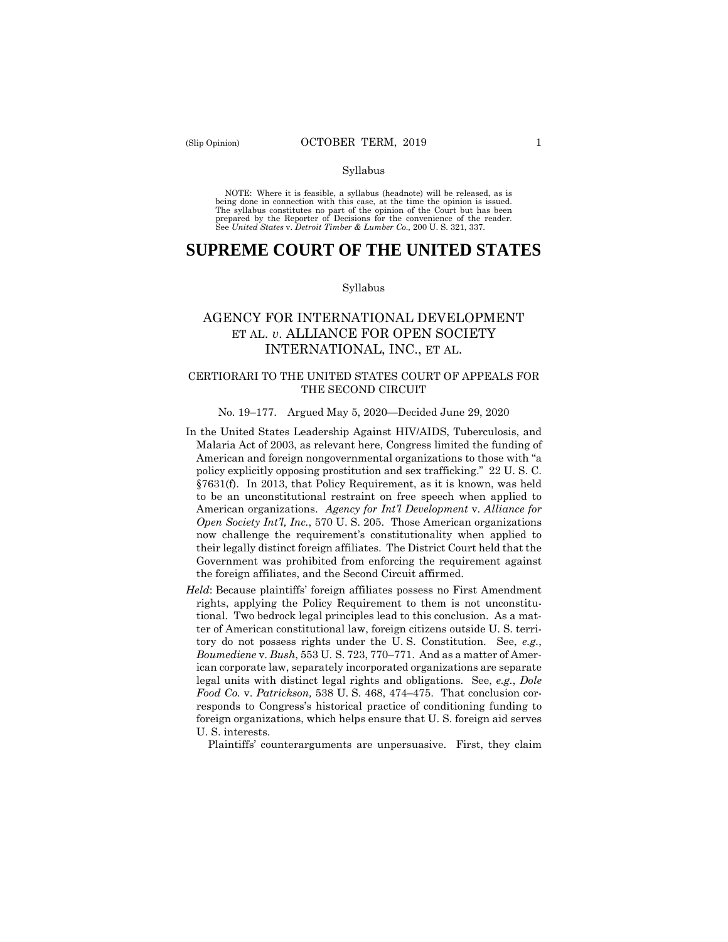#### Syllabus

 NOTE: Where it is feasible, a syllabus (headnote) will be released, as is being done in connection with this case, at the time the opinion is issued. The syllabus constitutes no part of the opinion of the Court but has been<br>prepared by the Reporter of Decisions for the convenience of the reader.<br>See United States v. Detroit Timber & Lumber Co., 200 U.S. 321, 337.

# **SUPREME COURT OF THE UNITED STATES**

#### Syllabus

## AGENCY FOR INTERNATIONAL DEVELOPMENT ET AL. *v*. ALLIANCE FOR OPEN SOCIETY INTERNATIONAL, INC., ET AL.

### CERTIORARI TO THE UNITED STATES COURT OF APPEALS FOR THE SECOND CIRCUIT

#### No. 19–177. Argued May 5, 2020—Decided June 29, 2020

- In the United States Leadership Against HIV/AIDS, Tuberculosis, and Malaria Act of 2003, as relevant here, Congress limited the funding of American and foreign nongovernmental organizations to those with "a policy explicitly opposing prostitution and sex trafficking." 22 U. S. C. §7631(f). In 2013, that Policy Requirement, as it is known, was held to be an unconstitutional restraint on free speech when applied to American organizations. *Agency for Int'l Development* v. *Alliance for Open Society Int'l, Inc.*, 570 U. S. 205. Those American organizations now challenge the requirement's constitutionality when applied to their legally distinct foreign affiliates. The District Court held that the Government was prohibited from enforcing the requirement against the foreign affiliates, and the Second Circuit affirmed.
- *Held*: Because plaintiffs' foreign affiliates possess no First Amendment rights, applying the Policy Requirement to them is not unconstitutional. Two bedrock legal principles lead to this conclusion. As a matter of American constitutional law, foreign citizens outside U. S. territory do not possess rights under the U. S. Constitution. See, *e.g.*, *Boumediene* v. *Bush*, 553 U. S. 723, 770–771. And as a matter of American corporate law, separately incorporated organizations are separate legal units with distinct legal rights and obligations. See, *e.g.*, *Dole Food Co.* v. *Patrickson,* 538 U. S. 468, 474–475. That conclusion corresponds to Congress's historical practice of conditioning funding to foreign organizations, which helps ensure that U. S. foreign aid serves U. S. interests.

Plaintiffs' counterarguments are unpersuasive. First, they claim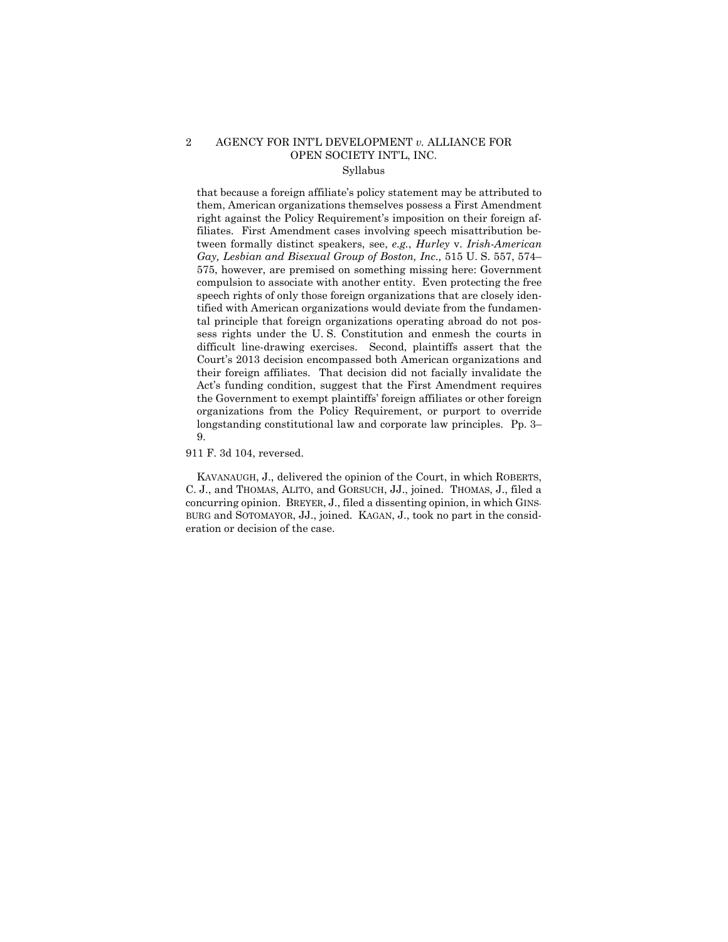### 2 AGENCY FOR INT'L DEVELOPMENT *v.* ALLIANCE FOR OPEN SOCIETY INT'L, INC. Syllabus

that because a foreign affiliate's policy statement may be attributed to them, American organizations themselves possess a First Amendment right against the Policy Requirement's imposition on their foreign affiliates. First Amendment cases involving speech misattribution between formally distinct speakers, see, *e.g.*, *Hurley* v. *Irish-American Gay, Lesbian and Bisexual Group of Boston, Inc.,* 515 U. S. 557, 574– 575, however, are premised on something missing here: Government compulsion to associate with another entity. Even protecting the free speech rights of only those foreign organizations that are closely identified with American organizations would deviate from the fundamental principle that foreign organizations operating abroad do not possess rights under the U. S. Constitution and enmesh the courts in difficult line-drawing exercises. Second, plaintiffs assert that the Court's 2013 decision encompassed both American organizations and their foreign affiliates. That decision did not facially invalidate the Act's funding condition, suggest that the First Amendment requires the Government to exempt plaintiffs' foreign affiliates or other foreign organizations from the Policy Requirement, or purport to override longstanding constitutional law and corporate law principles. Pp. 3– 9.

911 F. 3d 104, reversed.

KAVANAUGH, J., delivered the opinion of the Court, in which ROBERTS, C. J., and THOMAS, ALITO, and GORSUCH, JJ., joined. THOMAS, J., filed a concurring opinion. BREYER, J., filed a dissenting opinion, in which GINS-BURG and SOTOMAYOR, JJ., joined. KAGAN, J., took no part in the consideration or decision of the case.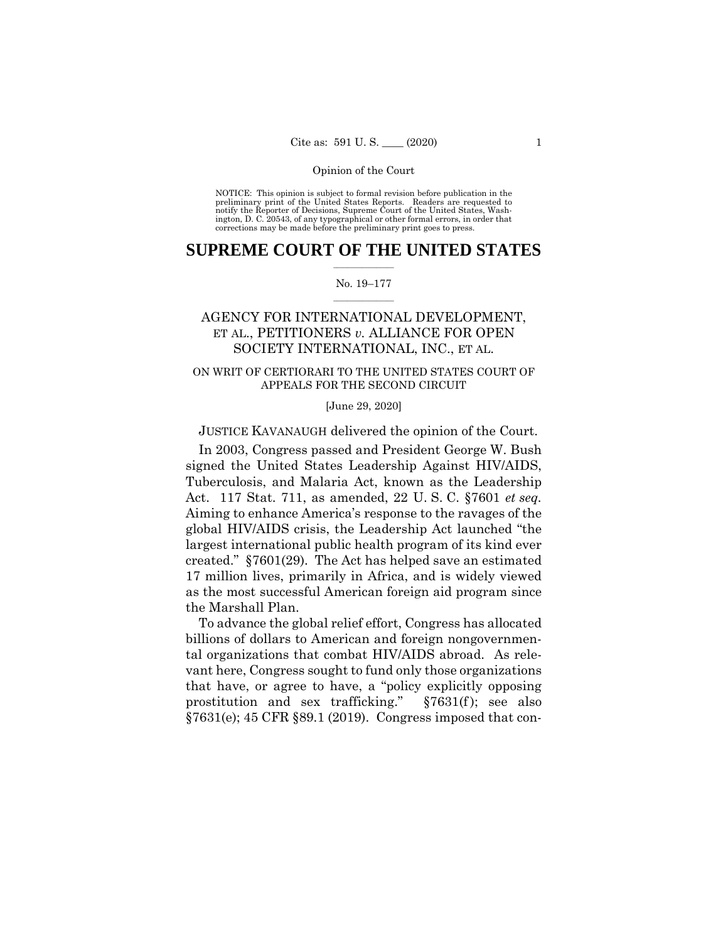#### Opinion of the Court

 NOTICE: This opinion is subject to formal revision before publication in the preliminary print of the United States Reports. Readers are requested to notify the Reporter of Decisions, Supreme Court of the United States, Wash-ington, D. C. 20543, of any typographical or other formal errors, in order that corrections may be made before the preliminary print goes to press.

### $\frac{1}{2}$  ,  $\frac{1}{2}$  ,  $\frac{1}{2}$  ,  $\frac{1}{2}$  ,  $\frac{1}{2}$  ,  $\frac{1}{2}$  ,  $\frac{1}{2}$ **SUPREME COURT OF THE UNITED STATES**

#### $\frac{1}{2}$  ,  $\frac{1}{2}$  ,  $\frac{1}{2}$  ,  $\frac{1}{2}$  ,  $\frac{1}{2}$  ,  $\frac{1}{2}$ No. 19–177

## AGENCY FOR INTERNATIONAL DEVELOPMENT, ET AL., PETITIONERS *v.* ALLIANCE FOR OPEN SOCIETY INTERNATIONAL, INC., ET AL.

### ON WRIT OF CERTIORARI TO THE UNITED STATES COURT OF APPEALS FOR THE SECOND CIRCUIT

[June 29, 2020]

JUSTICE KAVANAUGH delivered the opinion of the Court.

In 2003, Congress passed and President George W. Bush signed the United States Leadership Against HIV/AIDS, Tuberculosis, and Malaria Act, known as the Leadership Act. 117 Stat. 711, as amended, 22 U. S. C. §7601 *et seq.* Aiming to enhance America's response to the ravages of the global HIV/AIDS crisis, the Leadership Act launched "the largest international public health program of its kind ever created." §7601(29). The Act has helped save an estimated 17 million lives, primarily in Africa, and is widely viewed as the most successful American foreign aid program since the Marshall Plan.

To advance the global relief effort, Congress has allocated billions of dollars to American and foreign nongovernmental organizations that combat HIV/AIDS abroad. As relevant here, Congress sought to fund only those organizations that have, or agree to have, a "policy explicitly opposing prostitution and sex trafficking." §7631(f ); see also §7631(e); 45 CFR §89.1 (2019). Congress imposed that con-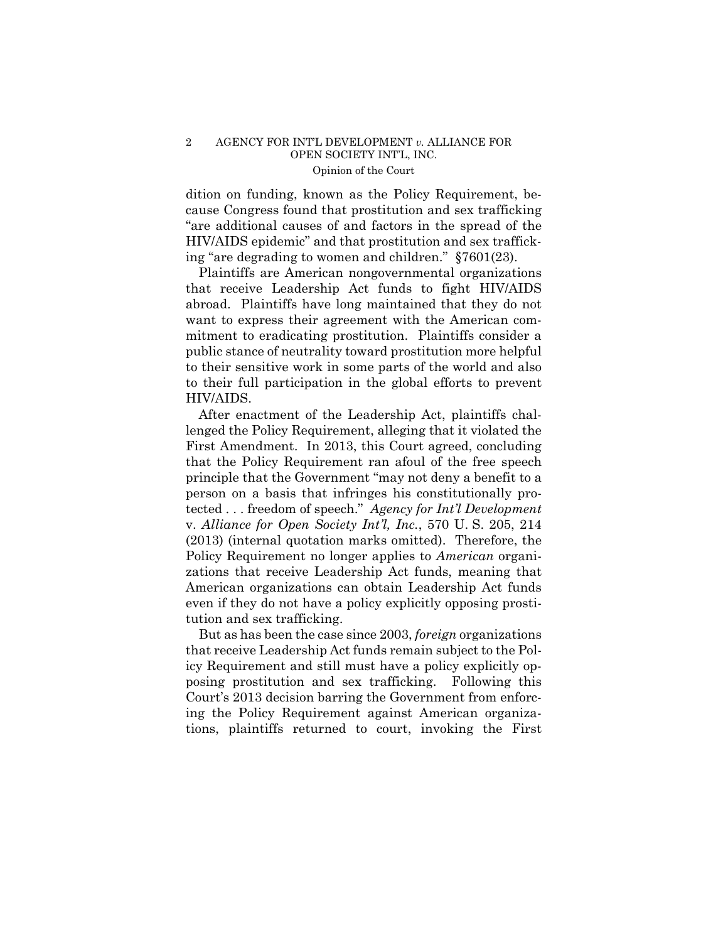### 2 AGENCY FOR INT'L DEVELOPMENT *v.* ALLIANCE FOR OPEN SOCIETY INT'L, INC. Opinion of the Court

dition on funding, known as the Policy Requirement, because Congress found that prostitution and sex trafficking "are additional causes of and factors in the spread of the HIV/AIDS epidemic" and that prostitution and sex trafficking "are degrading to women and children." §7601(23).

Plaintiffs are American nongovernmental organizations that receive Leadership Act funds to fight HIV/AIDS abroad. Plaintiffs have long maintained that they do not want to express their agreement with the American commitment to eradicating prostitution. Plaintiffs consider a public stance of neutrality toward prostitution more helpful to their sensitive work in some parts of the world and also to their full participation in the global efforts to prevent HIV/AIDS.

After enactment of the Leadership Act, plaintiffs challenged the Policy Requirement, alleging that it violated the First Amendment. In 2013, this Court agreed, concluding that the Policy Requirement ran afoul of the free speech principle that the Government "may not deny a benefit to a person on a basis that infringes his constitutionally protected . . . freedom of speech." *Agency for Int'l Development*  v. *Alliance for Open Society Int'l, Inc.*, 570 U. S. 205, 214 (2013) (internal quotation marks omitted). Therefore, the Policy Requirement no longer applies to *American* organizations that receive Leadership Act funds, meaning that American organizations can obtain Leadership Act funds even if they do not have a policy explicitly opposing prostitution and sex trafficking.

But as has been the case since 2003, *foreign* organizations that receive Leadership Act funds remain subject to the Policy Requirement and still must have a policy explicitly opposing prostitution and sex trafficking. Following this Court's 2013 decision barring the Government from enforcing the Policy Requirement against American organizations, plaintiffs returned to court, invoking the First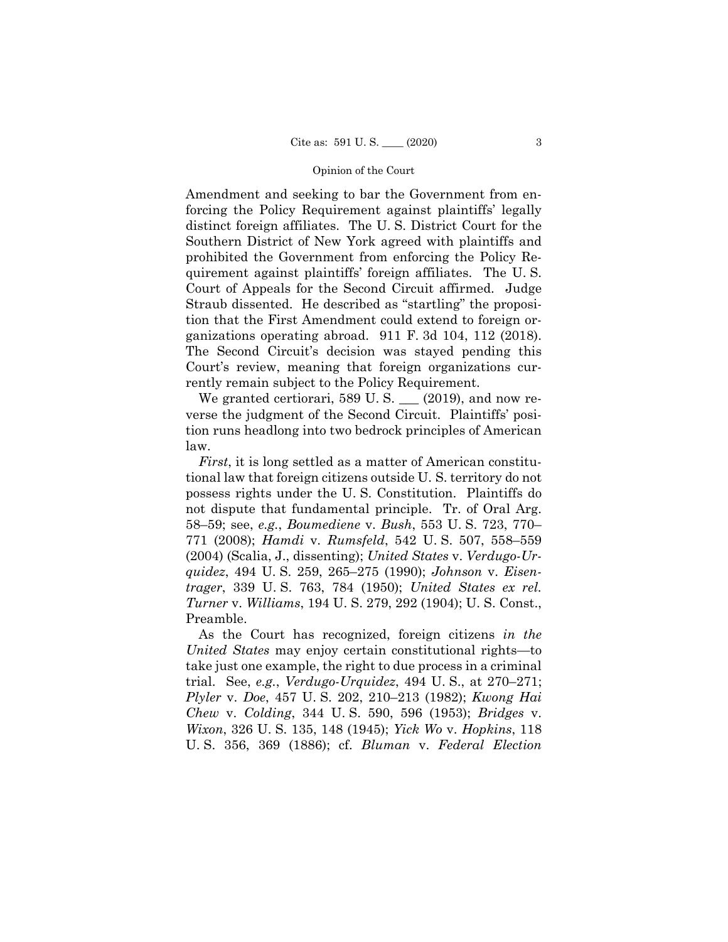#### Opinion of the Court

Amendment and seeking to bar the Government from enforcing the Policy Requirement against plaintiffs' legally distinct foreign affiliates. The U. S. District Court for the Southern District of New York agreed with plaintiffs and prohibited the Government from enforcing the Policy Requirement against plaintiffs' foreign affiliates. The U. S. Court of Appeals for the Second Circuit affirmed. Judge Straub dissented. He described as "startling" the proposition that the First Amendment could extend to foreign organizations operating abroad. 911 F. 3d 104, 112 (2018). The Second Circuit's decision was stayed pending this Court's review, meaning that foreign organizations currently remain subject to the Policy Requirement.

We granted certiorari, 589 U.S.  $\_\_$  (2019), and now reverse the judgment of the Second Circuit. Plaintiffs' position runs headlong into two bedrock principles of American law.

*First*, it is long settled as a matter of American constitutional law that foreign citizens outside U. S. territory do not possess rights under the U. S. Constitution. Plaintiffs do not dispute that fundamental principle. Tr. of Oral Arg. 58–59; see, *e.g.*, *Boumediene* v. *Bush*, 553 U. S. 723, 770– 771 (2008); *Hamdi* v. *Rumsfeld*, 542 U. S. 507, 558–559 (2004) (Scalia, J., dissenting); *United States* v. *Verdugo-Urquidez*, 494 U. S. 259, 265–275 (1990); *Johnson* v. *Eisentrager*, 339 U. S. 763, 784 (1950); *United States ex rel. Turner* v. *Williams*, 194 U. S. 279, 292 (1904); U. S. Const., Preamble.

As the Court has recognized, foreign citizens *in the United States* may enjoy certain constitutional rights—to take just one example, the right to due process in a criminal trial. See, *e.g.*, *Verdugo-Urquidez*, 494 U. S., at 270–271; *Plyler* v. *Doe*, 457 U. S. 202, 210–213 (1982); *Kwong Hai Chew* v. *Colding*, 344 U. S. 590, 596 (1953); *Bridges* v. *Wixon*, 326 U. S. 135, 148 (1945); *Yick Wo* v. *Hopkins*, 118 U. S. 356, 369 (1886); cf. *Bluman* v. *Federal Election*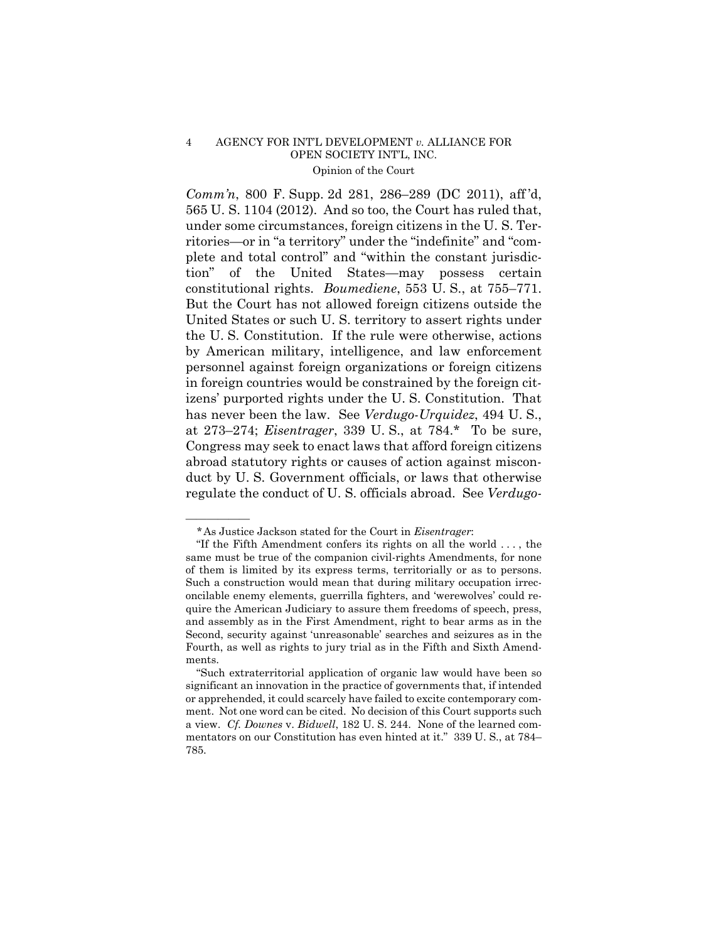### 4 AGENCY FOR INT'L DEVELOPMENT *v.* ALLIANCE FOR OPEN SOCIETY INT'L, INC. Opinion of the Court

*Comm'n*, 800 F. Supp. 2d 281, 286–289 (DC 2011), aff 'd, 565 U. S. 1104 (2012). And so too, the Court has ruled that, under some circumstances, foreign citizens in the U. S. Territories—or in "a territory" under the "indefinite" and "complete and total control" and "within the constant jurisdiction" of the United States—may possess certain constitutional rights. *Boumediene*, 553 U. S., at 755–771. But the Court has not allowed foreign citizens outside the United States or such U. S. territory to assert rights under the U. S. Constitution. If the rule were otherwise, actions by American military, intelligence, and law enforcement personnel against foreign organizations or foreign citizens in foreign countries would be constrained by the foreign citizens' purported rights under the U. S. Constitution. That has never been the law. See *Verdugo-Urquidez*, 494 U. S., at 273–274; *Eisentrager*, 339 U. S., at 784.\* To be sure, Congress may seek to enact laws that afford foreign citizens abroad statutory rights or causes of action against misconduct by U. S. Government officials, or laws that otherwise regulate the conduct of U. S. officials abroad. See *Verdugo-*

——————

<sup>\*</sup>As Justice Jackson stated for the Court in *Eisentrager*:

 <sup>&</sup>quot;If the Fifth Amendment confers its rights on all the world . . . , the same must be true of the companion civil-rights Amendments, for none of them is limited by its express terms, territorially or as to persons. Such a construction would mean that during military occupation irreconcilable enemy elements, guerrilla fighters, and 'werewolves' could require the American Judiciary to assure them freedoms of speech, press, and assembly as in the First Amendment, right to bear arms as in the Second, security against 'unreasonable' searches and seizures as in the Fourth, as well as rights to jury trial as in the Fifth and Sixth Amendments.

 <sup>&</sup>quot;Such extraterritorial application of organic law would have been so significant an innovation in the practice of governments that, if intended or apprehended, it could scarcely have failed to excite contemporary comment. Not one word can be cited. No decision of this Court supports such a view. *Cf. Downes* v. *Bidwell*, 182 U. S. 244. None of the learned commentators on our Constitution has even hinted at it." 339 U. S., at 784– 785.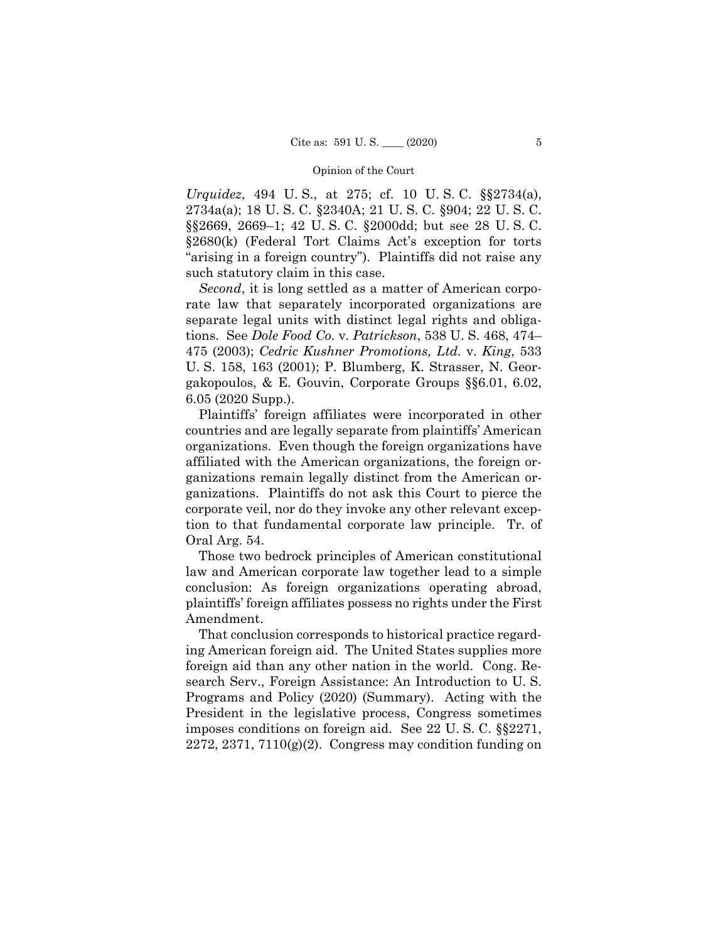#### Opinion of the Court

*Urquidez*, 494 U. S., at 275; cf. 10 U. S. C. §§2734(a), 2734a(a); 18 U. S. C. §2340A; 21 U. S. C. §904; 22 U. S. C. §§2669, 2669–1; 42 U. S. C. §2000dd; but see 28 U. S. C. §2680(k) (Federal Tort Claims Act's exception for torts "arising in a foreign country"). Plaintiffs did not raise any such statutory claim in this case.

*Second*, it is long settled as a matter of American corporate law that separately incorporated organizations are separate legal units with distinct legal rights and obligations. See *Dole Food Co.* v. *Patrickson*, 538 U. S. 468, 474– 475 (2003); *Cedric Kushner Promotions, Ltd.* v. *King*, 533 U. S. 158, 163 (2001); P. Blumberg, K. Strasser, N. Georgakopoulos, & E. Gouvin, Corporate Groups §§6.01, 6.02, 6.05 (2020 Supp.).

Plaintiffs' foreign affiliates were incorporated in other countries and are legally separate from plaintiffs' American organizations. Even though the foreign organizations have affiliated with the American organizations, the foreign organizations remain legally distinct from the American organizations. Plaintiffs do not ask this Court to pierce the corporate veil, nor do they invoke any other relevant exception to that fundamental corporate law principle. Tr. of Oral Arg. 54.

Those two bedrock principles of American constitutional law and American corporate law together lead to a simple conclusion: As foreign organizations operating abroad, plaintiffs' foreign affiliates possess no rights under the First Amendment.

That conclusion corresponds to historical practice regarding American foreign aid. The United States supplies more foreign aid than any other nation in the world. Cong. Research Serv., Foreign Assistance: An Introduction to U. S. Programs and Policy (2020) (Summary). Acting with the President in the legislative process, Congress sometimes imposes conditions on foreign aid. See 22 U. S. C. §§2271,  $2272, 2371, 7110(g)(2)$ . Congress may condition funding on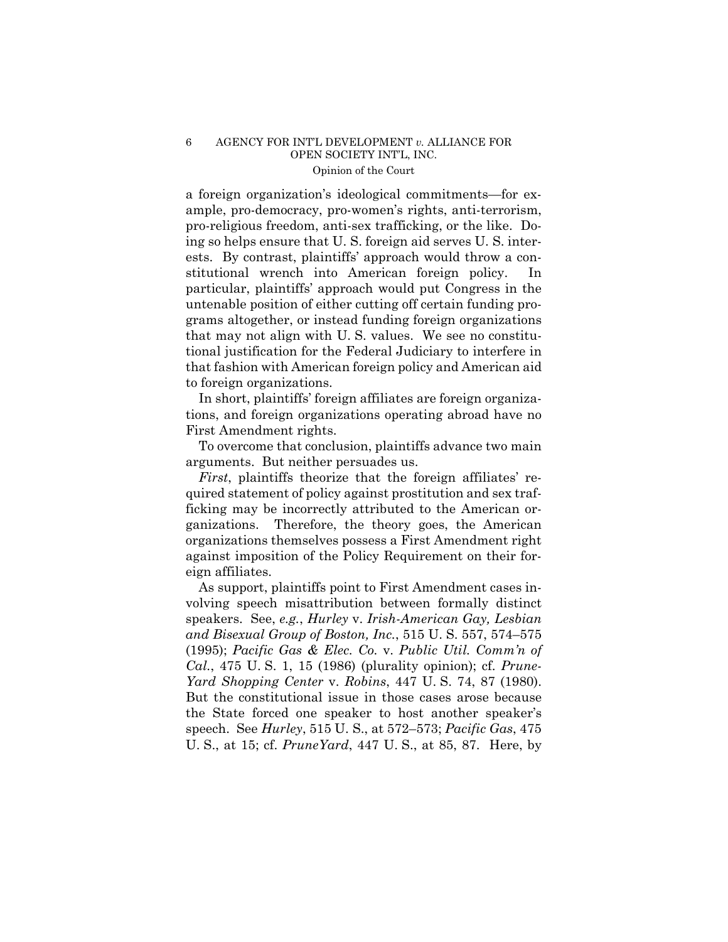### 6 AGENCY FOR INT'L DEVELOPMENT *v.* ALLIANCE FOR OPEN SOCIETY INT'L, INC. Opinion of the Court

a foreign organization's ideological commitments—for example, pro-democracy, pro-women's rights, anti-terrorism, pro-religious freedom, anti-sex trafficking, or the like. Doing so helps ensure that U. S. foreign aid serves U. S. interests. By contrast, plaintiffs' approach would throw a constitutional wrench into American foreign policy. In particular, plaintiffs' approach would put Congress in the untenable position of either cutting off certain funding programs altogether, or instead funding foreign organizations that may not align with U. S. values. We see no constitutional justification for the Federal Judiciary to interfere in that fashion with American foreign policy and American aid to foreign organizations.

In short, plaintiffs' foreign affiliates are foreign organizations, and foreign organizations operating abroad have no First Amendment rights.

To overcome that conclusion, plaintiffs advance two main arguments. But neither persuades us.

*First*, plaintiffs theorize that the foreign affiliates' required statement of policy against prostitution and sex trafficking may be incorrectly attributed to the American organizations. Therefore, the theory goes, the American organizations themselves possess a First Amendment right against imposition of the Policy Requirement on their foreign affiliates.

As support, plaintiffs point to First Amendment cases involving speech misattribution between formally distinct speakers. See, *e.g.*, *Hurley* v. *Irish-American Gay, Lesbian and Bisexual Group of Boston, Inc.*, 515 U. S. 557, 574–575 (1995); *Pacific Gas & Elec. Co.* v. *Public Util. Comm'n of Cal.*, 475 U. S. 1, 15 (1986) (plurality opinion); cf. *Prune-Yard Shopping Center* v. *Robins*, 447 U. S. 74, 87 (1980). But the constitutional issue in those cases arose because the State forced one speaker to host another speaker's speech. See *Hurley*, 515 U. S., at 572–573; *Pacific Gas*, 475 U. S., at 15; cf. *PruneYard*, 447 U. S., at 85, 87. Here, by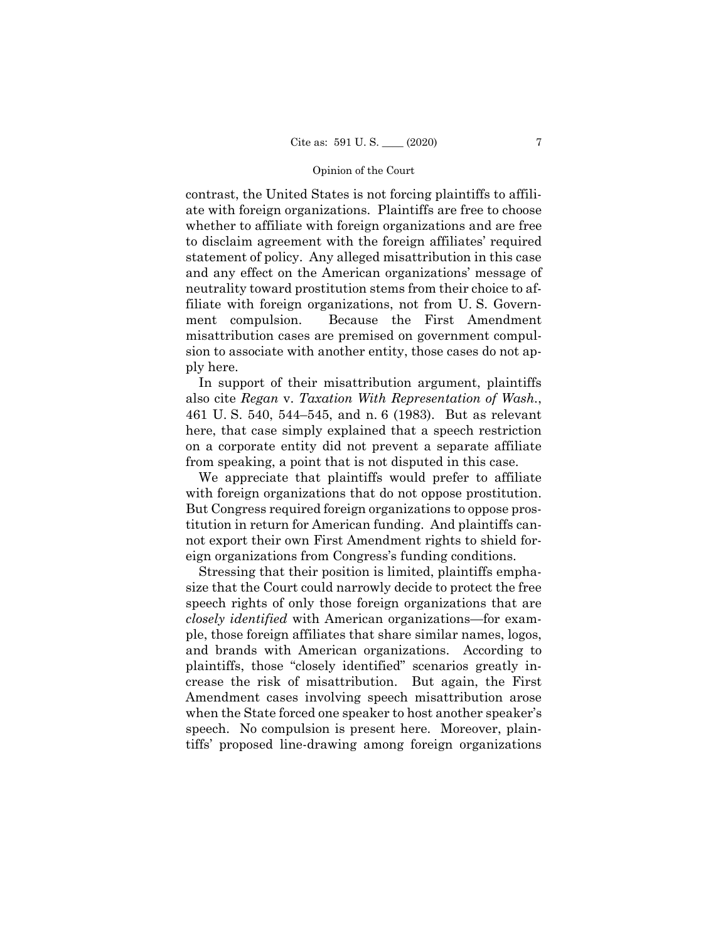#### Opinion of the Court

contrast, the United States is not forcing plaintiffs to affiliate with foreign organizations. Plaintiffs are free to choose whether to affiliate with foreign organizations and are free to disclaim agreement with the foreign affiliates' required statement of policy. Any alleged misattribution in this case and any effect on the American organizations' message of neutrality toward prostitution stems from their choice to affiliate with foreign organizations, not from U. S. Government compulsion. Because the First Amendment misattribution cases are premised on government compulsion to associate with another entity, those cases do not apply here.

In support of their misattribution argument, plaintiffs also cite *Regan* v. *Taxation With Representation of Wash.*, 461 U. S. 540, 544–545, and n. 6 (1983). But as relevant here, that case simply explained that a speech restriction on a corporate entity did not prevent a separate affiliate from speaking, a point that is not disputed in this case.

 with foreign organizations that do not oppose prostitution. We appreciate that plaintiffs would prefer to affiliate But Congress required foreign organizations to oppose prostitution in return for American funding. And plaintiffs cannot export their own First Amendment rights to shield foreign organizations from Congress's funding conditions.

Stressing that their position is limited, plaintiffs emphasize that the Court could narrowly decide to protect the free speech rights of only those foreign organizations that are *closely identified* with American organizations—for example, those foreign affiliates that share similar names, logos, and brands with American organizations. According to plaintiffs, those "closely identified" scenarios greatly increase the risk of misattribution. But again, the First Amendment cases involving speech misattribution arose when the State forced one speaker to host another speaker's speech. No compulsion is present here. Moreover, plaintiffs' proposed line-drawing among foreign organizations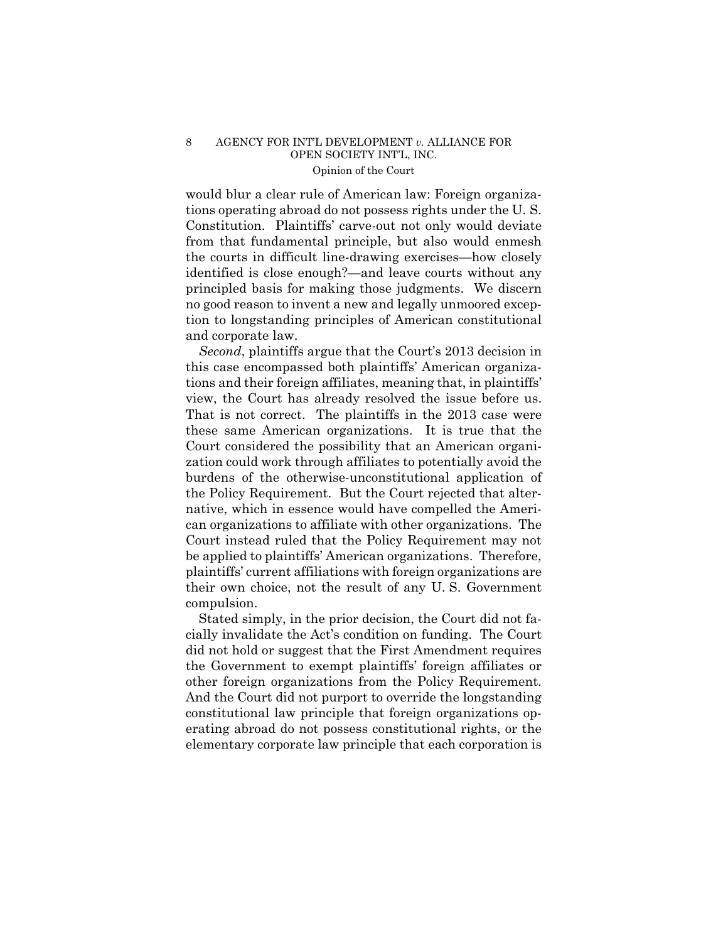### 8 AGENCY FOR INT'L DEVELOPMENT *v.* ALLIANCE FOR OPEN SOCIETY INT'L, INC. Opinion of the Court

would blur a clear rule of American law: Foreign organizations operating abroad do not possess rights under the U. S. Constitution. Plaintiffs' carve-out not only would deviate from that fundamental principle, but also would enmesh the courts in difficult line-drawing exercises—how closely identified is close enough?—and leave courts without any principled basis for making those judgments. We discern no good reason to invent a new and legally unmoored exception to longstanding principles of American constitutional and corporate law.

*Second*, plaintiffs argue that the Court's 2013 decision in this case encompassed both plaintiffs' American organizations and their foreign affiliates, meaning that, in plaintiffs' view, the Court has already resolved the issue before us. That is not correct. The plaintiffs in the 2013 case were these same American organizations. It is true that the Court considered the possibility that an American organization could work through affiliates to potentially avoid the burdens of the otherwise-unconstitutional application of the Policy Requirement. But the Court rejected that alternative, which in essence would have compelled the American organizations to affiliate with other organizations. The Court instead ruled that the Policy Requirement may not be applied to plaintiffs' American organizations. Therefore, plaintiffs' current affiliations with foreign organizations are their own choice, not the result of any U. S. Government compulsion.

 other foreign organizations from the Policy Requirement. Stated simply, in the prior decision, the Court did not facially invalidate the Act's condition on funding. The Court did not hold or suggest that the First Amendment requires the Government to exempt plaintiffs' foreign affiliates or And the Court did not purport to override the longstanding constitutional law principle that foreign organizations operating abroad do not possess constitutional rights, or the elementary corporate law principle that each corporation is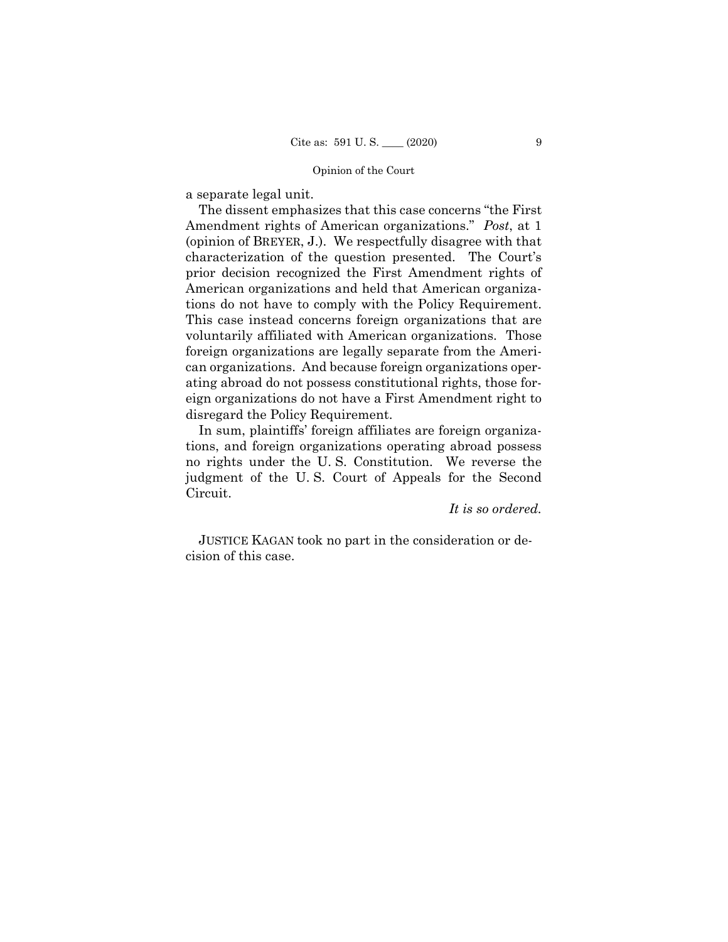#### Opinion of the Court

a separate legal unit.

 tions do not have to comply with the Policy Requirement. The dissent emphasizes that this case concerns "the First Amendment rights of American organizations." *Post*, at 1 (opinion of BREYER, J.). We respectfully disagree with that characterization of the question presented. The Court's prior decision recognized the First Amendment rights of American organizations and held that American organiza-This case instead concerns foreign organizations that are voluntarily affiliated with American organizations. Those foreign organizations are legally separate from the American organizations. And because foreign organizations operating abroad do not possess constitutional rights, those foreign organizations do not have a First Amendment right to disregard the Policy Requirement.

In sum, plaintiffs' foreign affiliates are foreign organizations, and foreign organizations operating abroad possess no rights under the U. S. Constitution. We reverse the judgment of the U. S. Court of Appeals for the Second Circuit.

*It is so ordered.* 

JUSTICE KAGAN took no part in the consideration or decision of this case.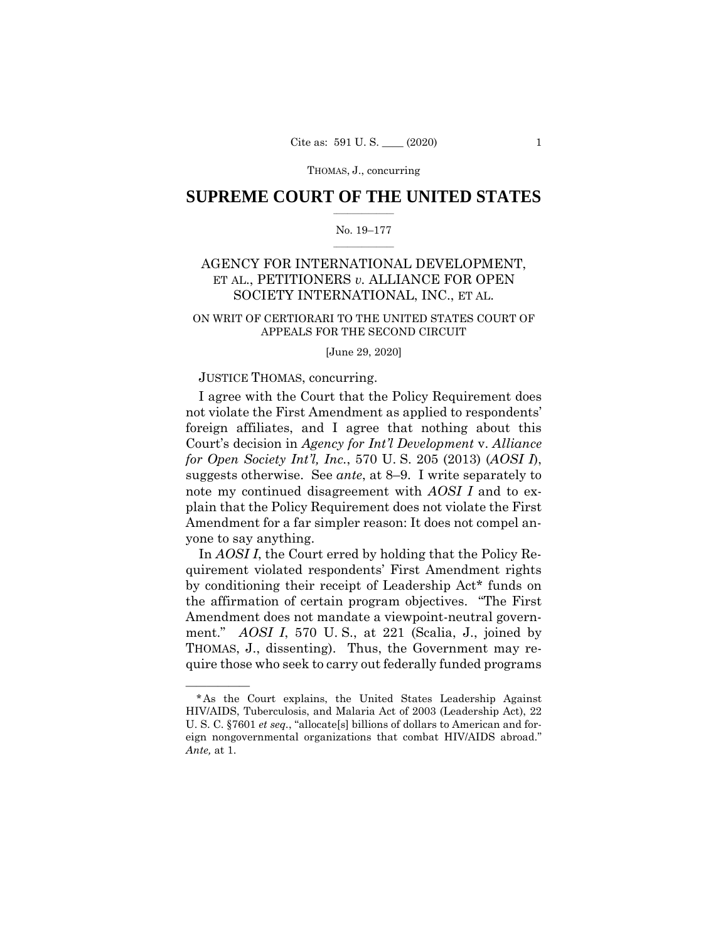THOMAS, J., concurring

### $\frac{1}{2}$  ,  $\frac{1}{2}$  ,  $\frac{1}{2}$  ,  $\frac{1}{2}$  ,  $\frac{1}{2}$  ,  $\frac{1}{2}$  ,  $\frac{1}{2}$ **SUPREME COURT OF THE UNITED STATES**

#### $\frac{1}{2}$  ,  $\frac{1}{2}$  ,  $\frac{1}{2}$  ,  $\frac{1}{2}$  ,  $\frac{1}{2}$  ,  $\frac{1}{2}$ No. 19–177

## AGENCY FOR INTERNATIONAL DEVELOPMENT, ET AL., PETITIONERS *v.* ALLIANCE FOR OPEN SOCIETY INTERNATIONAL, INC., ET AL.

### ON WRIT OF CERTIORARI TO THE UNITED STATES COURT OF APPEALS FOR THE SECOND CIRCUIT

#### [June 29, 2020]

### JUSTICE THOMAS, concurring.

——————

I agree with the Court that the Policy Requirement does not violate the First Amendment as applied to respondents' foreign affiliates, and I agree that nothing about this Court's decision in *Agency for Int'l Development* v. *Alliance for Open Society Int'l, Inc.*, 570 U. S. 205 (2013) (*AOSI I*), suggests otherwise. See *ante*, at 8–9. I write separately to note my continued disagreement with *AOSI I* and to explain that the Policy Requirement does not violate the First Amendment for a far simpler reason: It does not compel anyone to say anything.

In *AOSI I*, the Court erred by holding that the Policy Requirement violated respondents' First Amendment rights by conditioning their receipt of Leadership Act\* funds on the affirmation of certain program objectives. "The First Amendment does not mandate a viewpoint-neutral government." *AOSI I*, 570 U. S., at 221 (Scalia, J., joined by THOMAS, J., dissenting). Thus, the Government may require those who seek to carry out federally funded programs

<sup>\*</sup>As the Court explains, the United States Leadership Against HIV/AIDS, Tuberculosis, and Malaria Act of 2003 (Leadership Act), 22 U. S. C. §7601 *et seq.*, "allocate[s] billions of dollars to American and foreign nongovernmental organizations that combat HIV/AIDS abroad." *Ante,* at 1.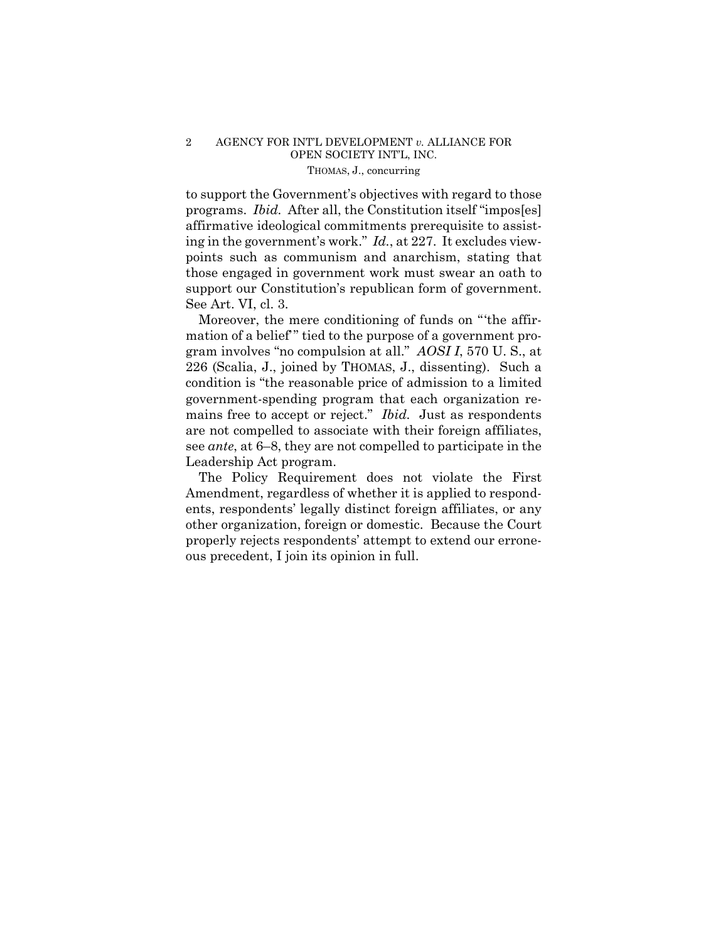### 2 AGENCY FOR INT'L DEVELOPMENT *v.* ALLIANCE FOR OPEN SOCIETY INT'L, INC. THOMAS, J., concurring

 ing in the government's work." *Id.*, at 227. It excludes viewto support the Government's objectives with regard to those programs. *Ibid.* After all, the Constitution itself "impos[es] affirmative ideological commitments prerequisite to assistpoints such as communism and anarchism, stating that those engaged in government work must swear an oath to support our Constitution's republican form of government. See Art. VI, cl. 3.

Moreover, the mere conditioning of funds on "'the affirmation of a belief'" tied to the purpose of a government program involves "no compulsion at all." *AOSI I*, 570 U. S., at 226 (Scalia, J., joined by THOMAS, J., dissenting). Such a condition is "the reasonable price of admission to a limited government-spending program that each organization remains free to accept or reject." *Ibid.* Just as respondents are not compelled to associate with their foreign affiliates, see *ante*, at 6–8, they are not compelled to participate in the Leadership Act program.

The Policy Requirement does not violate the First Amendment, regardless of whether it is applied to respondents, respondents' legally distinct foreign affiliates, or any other organization, foreign or domestic. Because the Court properly rejects respondents' attempt to extend our erroneous precedent, I join its opinion in full.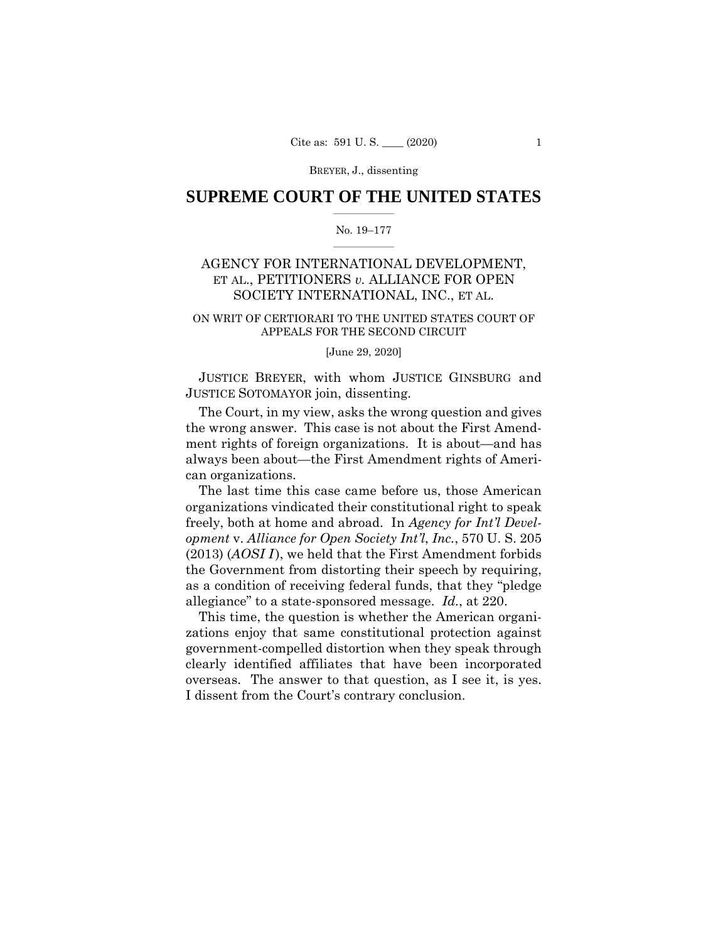### $\frac{1}{2}$  ,  $\frac{1}{2}$  ,  $\frac{1}{2}$  ,  $\frac{1}{2}$  ,  $\frac{1}{2}$  ,  $\frac{1}{2}$  ,  $\frac{1}{2}$ **SUPREME COURT OF THE UNITED STATES**

#### $\frac{1}{2}$  ,  $\frac{1}{2}$  ,  $\frac{1}{2}$  ,  $\frac{1}{2}$  ,  $\frac{1}{2}$  ,  $\frac{1}{2}$ No. 19–177

## AGENCY FOR INTERNATIONAL DEVELOPMENT, ET AL., PETITIONERS *v.* ALLIANCE FOR OPEN SOCIETY INTERNATIONAL, INC., ET AL.

### ON WRIT OF CERTIORARI TO THE UNITED STATES COURT OF APPEALS FOR THE SECOND CIRCUIT

#### [June 29, 2020]

JUSTICE BREYER, with whom JUSTICE GINSBURG and JUSTICE SOTOMAYOR join, dissenting.

The Court, in my view, asks the wrong question and gives the wrong answer. This case is not about the First Amendment rights of foreign organizations. It is about—and has always been about—the First Amendment rights of American organizations.

The last time this case came before us, those American organizations vindicated their constitutional right to speak freely, both at home and abroad. In *Agency for Int'l Development* v. *Alliance for Open Society Int'l*, *Inc.*, 570 U. S. 205 (2013) (*AOSI I*), we held that the First Amendment forbids the Government from distorting their speech by requiring, as a condition of receiving federal funds, that they "pledge allegiance" to a state-sponsored message. *Id.*, at 220.

 overseas. The answer to that question, as I see it, is yes. This time, the question is whether the American organizations enjoy that same constitutional protection against government-compelled distortion when they speak through clearly identified affiliates that have been incorporated I dissent from the Court's contrary conclusion.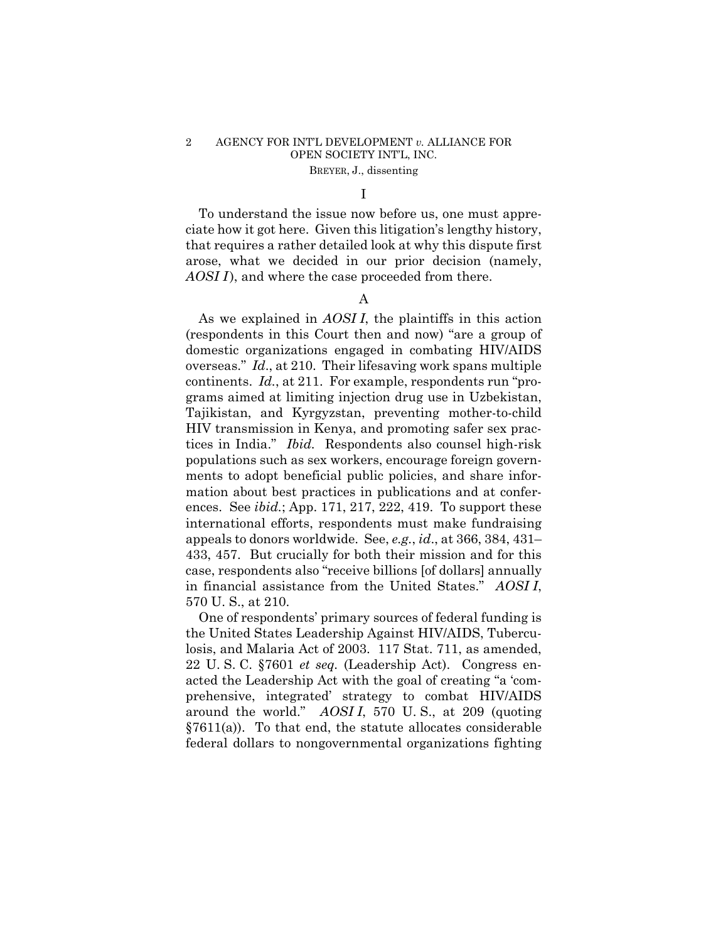I

To understand the issue now before us, one must appreciate how it got here. Given this litigation's lengthy history, that requires a rather detailed look at why this dispute first arose, what we decided in our prior decision (namely, *AOSI I*), and where the case proceeded from there.

### A

 tices in India." *Ibid.* Respondents also counsel high-risk As we explained in *AOSI I*, the plaintiffs in this action (respondents in this Court then and now) "are a group of domestic organizations engaged in combating HIV/AIDS overseas." *Id*., at 210. Their lifesaving work spans multiple continents. *Id.*, at 211. For example, respondents run "programs aimed at limiting injection drug use in Uzbekistan, Tajikistan, and Kyrgyzstan, preventing mother-to-child HIV transmission in Kenya, and promoting safer sex pracpopulations such as sex workers, encourage foreign governments to adopt beneficial public policies, and share information about best practices in publications and at conferences. See *ibid.*; App. 171, 217, 222, 419. To support these international efforts, respondents must make fundraising appeals to donors worldwide. See, *e.g.*, *id*., at 366, 384, 431– 433, 457. But crucially for both their mission and for this case, respondents also "receive billions [of dollars] annually in financial assistance from the United States." *AOSI I*, 570 U. S., at 210.

One of respondents' primary sources of federal funding is the United States Leadership Against HIV/AIDS, Tuberculosis, and Malaria Act of 2003. 117 Stat. 711, as amended, 22 U. S. C. §7601 *et seq.* (Leadership Act). Congress enacted the Leadership Act with the goal of creating "a 'comprehensive, integrated' strategy to combat HIV/AIDS around the world." *AOSI I*, 570 U. S., at 209 (quoting  $§7611(a)$ . To that end, the statute allocates considerable federal dollars to nongovernmental organizations fighting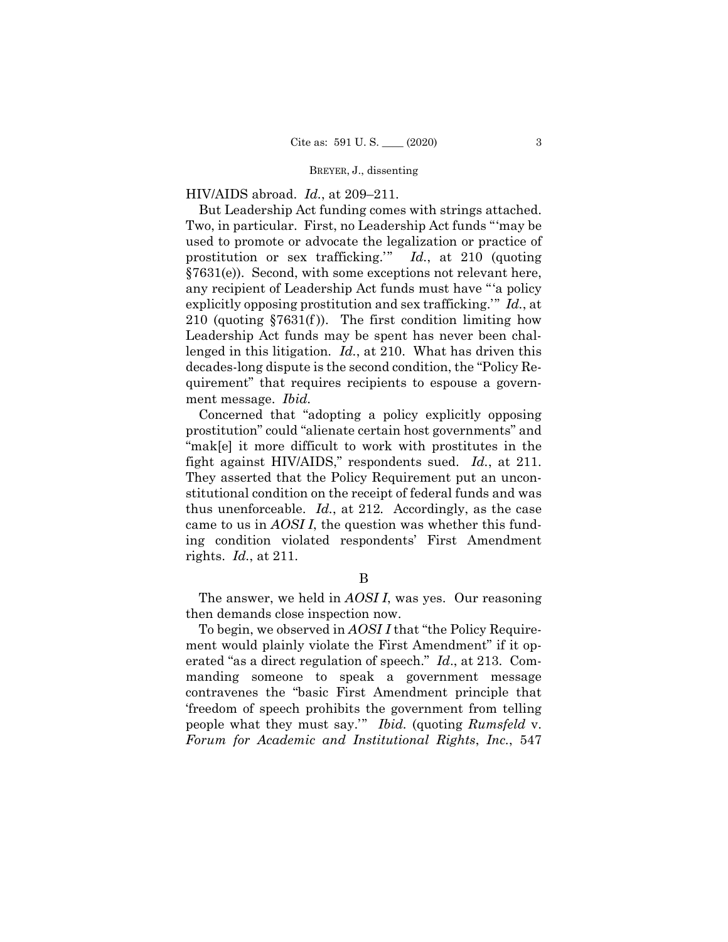HIV/AIDS abroad. *Id.*, at 209–211.

 But Leadership Act funding comes with strings attached. lenged in this litigation. *Id.*, at 210. What has driven this Two, in particular. First, no Leadership Act funds "'may be used to promote or advocate the legalization or practice of prostitution or sex trafficking.'" *Id.*, at 210 (quoting §7631(e)). Second, with some exceptions not relevant here, any recipient of Leadership Act funds must have "'a policy explicitly opposing prostitution and sex trafficking.'" *Id.*, at 210 (quoting  $$7631(f)$ ). The first condition limiting how Leadership Act funds may be spent has never been chaldecades-long dispute is the second condition, the "Policy Requirement" that requires recipients to espouse a government message. *Ibid.* 

fight against HIV/AIDS," respondents sued. Id., at 211. thus unenforceable. *Id.*, at 212*.* Accordingly, as the case Concerned that "adopting a policy explicitly opposing prostitution" could "alienate certain host governments" and "mak[e] it more difficult to work with prostitutes in the They asserted that the Policy Requirement put an unconstitutional condition on the receipt of federal funds and was came to us in *AOSI I*, the question was whether this funding condition violated respondents' First Amendment rights. *Id.*, at 211.

### B

The answer, we held in *AOSI I*, was yes. Our reasoning then demands close inspection now.

To begin, we observed in *AOSI I* that "the Policy Requirement would plainly violate the First Amendment" if it operated "as a direct regulation of speech." *Id*., at 213. Commanding someone to speak a government message contravenes the "basic First Amendment principle that 'freedom of speech prohibits the government from telling people what they must say.'" *Ibid.* (quoting *Rumsfeld* v. *Forum for Academic and Institutional Rights*, *Inc.*, 547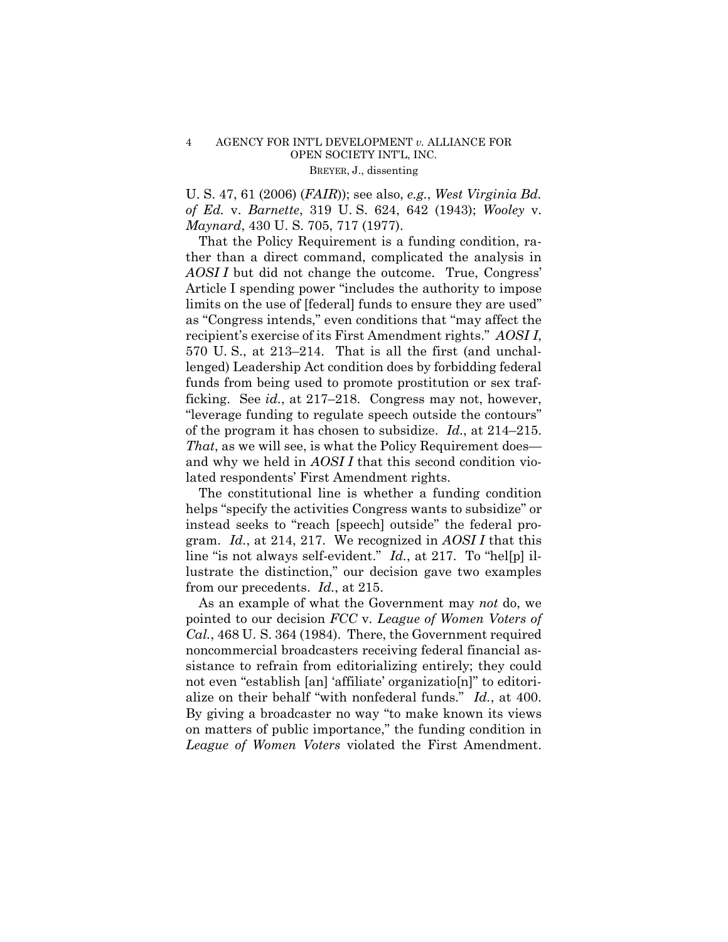U. S. 47, 61 (2006) (*FAIR*)); see also, *e.g.*, *West Virginia Bd. of Ed.* v. *Barnette*, 319 U. S. 624, 642 (1943); *Wooley* v. *Maynard*, 430 U. S. 705, 717 (1977).

 of the program it has chosen to subsidize. *Id.*, at 214–215. That the Policy Requirement is a funding condition, rather than a direct command, complicated the analysis in AOSI I but did not change the outcome. True, Congress' Article I spending power "includes the authority to impose limits on the use of [federal] funds to ensure they are used" as "Congress intends," even conditions that "may affect the recipient's exercise of its First Amendment rights." *AOSI I*, 570 U. S., at 213–214. That is all the first (and unchallenged) Leadership Act condition does by forbidding federal funds from being used to promote prostitution or sex trafficking. See *id.*, at 217–218. Congress may not, however, "leverage funding to regulate speech outside the contours" *That*, as we will see, is what the Policy Requirement does and why we held in *AOSI I* that this second condition violated respondents' First Amendment rights.

The constitutional line is whether a funding condition helps "specify the activities Congress wants to subsidize" or instead seeks to "reach [speech] outside" the federal program. *Id.*, at 214, 217. We recognized in *AOSI I* that this line "is not always self-evident." *Id.*, at 217. To "hel[p] illustrate the distinction," our decision gave two examples from our precedents. *Id.*, at 215.

 alize on their behalf "with nonfederal funds." *Id.*, at 400. By giving a broadcaster no way "to make known its views As an example of what the Government may *not* do, we pointed to our decision *FCC* v. *League of Women Voters of Cal.*, 468 U. S. 364 (1984). There, the Government required noncommercial broadcasters receiving federal financial assistance to refrain from editorializing entirely; they could not even "establish [an] 'affiliate' organizatio[n]" to editorion matters of public importance," the funding condition in *League of Women Voters* violated the First Amendment.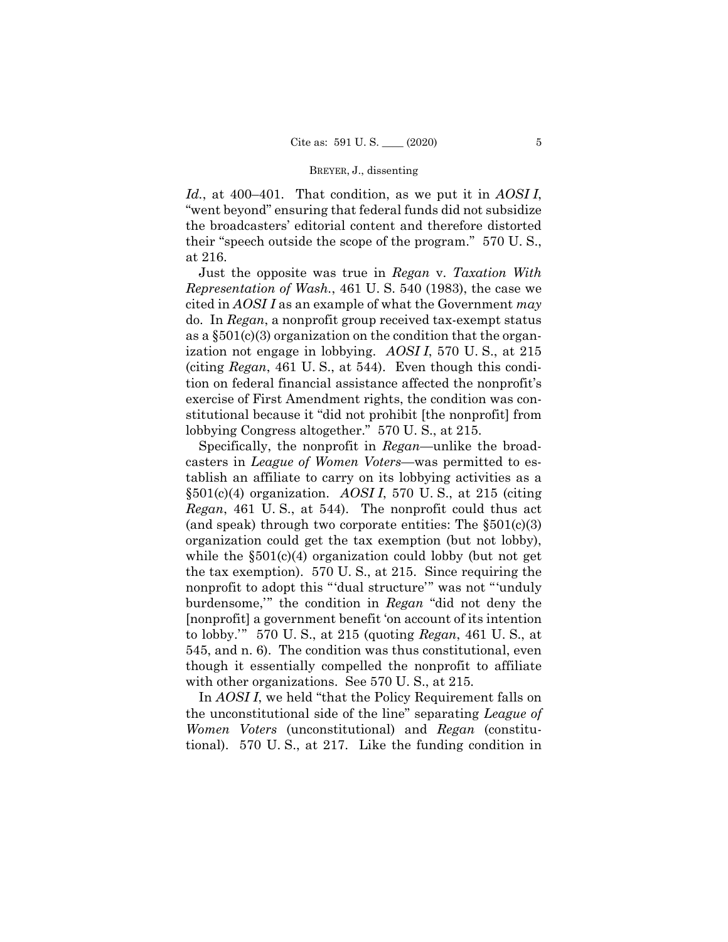*Id.*, at 400–401. That condition, as we put it in *AOSI I*, "went beyond" ensuring that federal funds did not subsidize the broadcasters' editorial content and therefore distorted their "speech outside the scope of the program." 570 U. S., at 216.

Just the opposite was true in *Regan* v. *Taxation With Representation of Wash.*, 461 U. S. 540 (1983), the case we cited in *AOSI I* as an example of what the Government *may* do. In *Regan*, a nonprofit group received tax-exempt status as a  $\S501(c)(3)$  organization on the condition that the organization not engage in lobbying. *AOSI I*, 570 U. S., at 215 (citing *Regan*, 461 U. S., at 544). Even though this condition on federal financial assistance affected the nonprofit's exercise of First Amendment rights, the condition was constitutional because it "did not prohibit [the nonprofit] from lobbying Congress altogether." 570 U. S., at 215.

Specifically, the nonprofit in *Regan*—unlike the broadcasters in *League of Women Voters*—was permitted to establish an affiliate to carry on its lobbying activities as a §501(c)(4) organization. *AOSI I*, 570 U. S., at 215 (citing *Regan*, 461 U. S., at 544). The nonprofit could thus act (and speak) through two corporate entities: The  $\S501(c)(3)$ organization could get the tax exemption (but not lobby), while the  $\S501(c)(4)$  organization could lobby (but not get the tax exemption). 570 U. S., at 215. Since requiring the nonprofit to adopt this "'dual structure'" was not "'unduly burdensome,'" the condition in *Regan* "did not deny the [nonprofit] a government benefit 'on account of its intention to lobby.'" 570 U. S., at 215 (quoting *Regan*, 461 U. S., at 545, and n. 6). The condition was thus constitutional, even though it essentially compelled the nonprofit to affiliate with other organizations. See 570 U. S., at 215*.*

 In *AOSI I*, we held "that the Policy Requirement falls on the unconstitutional side of the line" separating *League of Women Voters* (unconstitutional) and *Regan* (constitutional). 570 U. S., at 217. Like the funding condition in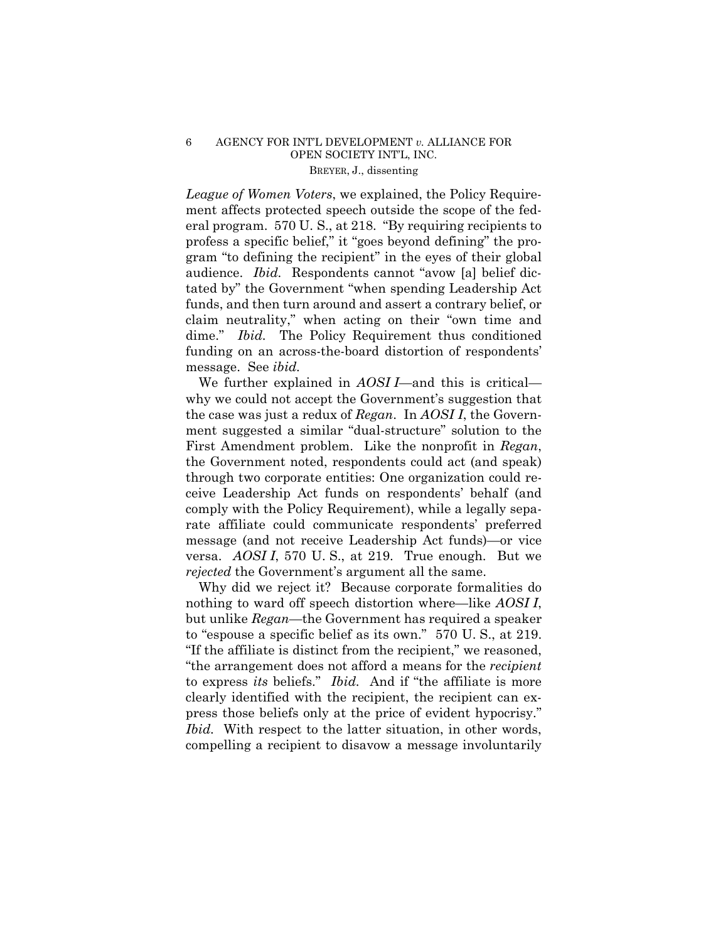*League of Women Voters*, we explained, the Policy Requirement affects protected speech outside the scope of the federal program. 570 U. S., at 218. "By requiring recipients to profess a specific belief," it "goes beyond defining" the program "to defining the recipient" in the eyes of their global audience. *Ibid.* Respondents cannot "avow [a] belief dictated by" the Government "when spending Leadership Act funds, and then turn around and assert a contrary belief, or claim neutrality," when acting on their "own time and dime." *Ibid.* The Policy Requirement thus conditioned funding on an across-the-board distortion of respondents' message. See *ibid.* 

We further explained in *AOSI I*—and this is critical why we could not accept the Government's suggestion that the case was just a redux of *Regan*. In *AOSI I*, the Government suggested a similar "dual-structure" solution to the First Amendment problem. Like the nonprofit in *Regan*, the Government noted, respondents could act (and speak) through two corporate entities: One organization could receive Leadership Act funds on respondents' behalf (and comply with the Policy Requirement), while a legally separate affiliate could communicate respondents' preferred message (and not receive Leadership Act funds)—or vice versa. *AOSI I*, 570 U. S., at 219. True enough. But we *rejected* the Government's argument all the same.

Why did we reject it? Because corporate formalities do nothing to ward off speech distortion where—like *AOSI I*, but unlike *Regan*—the Government has required a speaker to "espouse a specific belief as its own." 570 U. S., at 219. "If the affiliate is distinct from the recipient," we reasoned, "the arrangement does not afford a means for the *recipient*  to express *its* beliefs." *Ibid.* And if "the affiliate is more clearly identified with the recipient, the recipient can express those beliefs only at the price of evident hypocrisy." *Ibid.* With respect to the latter situation, in other words, compelling a recipient to disavow a message involuntarily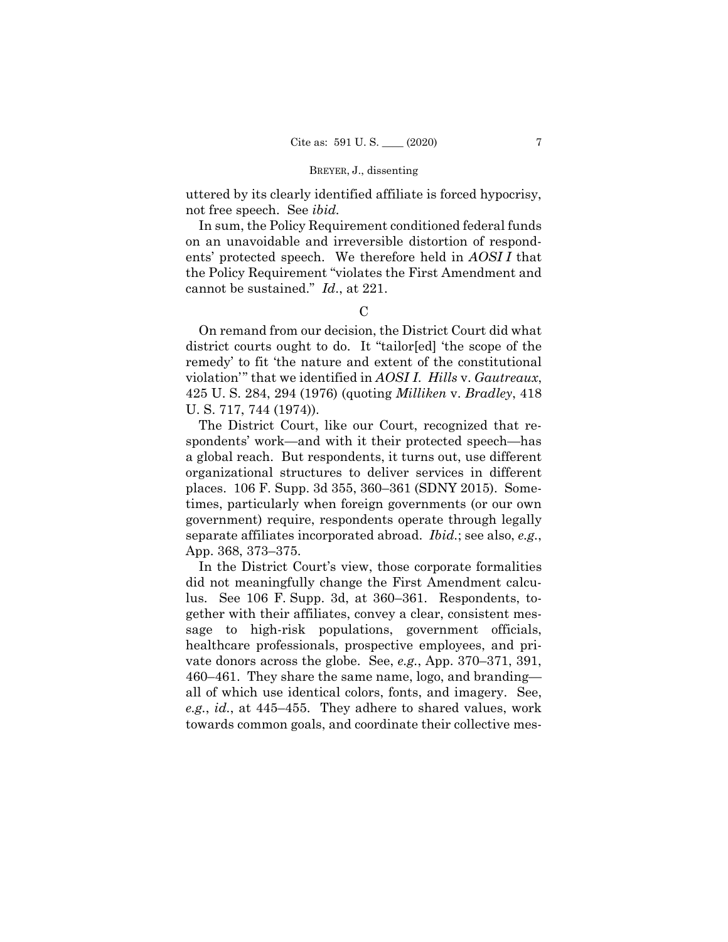uttered by its clearly identified affiliate is forced hypocrisy, not free speech. See *ibid.* 

In sum, the Policy Requirement conditioned federal funds on an unavoidable and irreversible distortion of respondents' protected speech. We therefore held in *AOSI I* that the Policy Requirement "violates the First Amendment and cannot be sustained." *Id*., at 221.

### $\mathcal{C}$

On remand from our decision, the District Court did what district courts ought to do. It "tailor[ed] 'the scope of the remedy' to fit 'the nature and extent of the constitutional violation'" that we identified in *AOSI I*. *Hills* v. *Gautreaux*, 425 U. S. 284, 294 (1976) (quoting *Milliken* v. *Bradley*, 418 U. S. 717, 744 (1974)).

The District Court, like our Court, recognized that respondents' work—and with it their protected speech—has a global reach. But respondents, it turns out, use different organizational structures to deliver services in different places. 106 F. Supp. 3d 355, 360–361 (SDNY 2015). Sometimes, particularly when foreign governments (or our own government) require, respondents operate through legally separate affiliates incorporated abroad. *Ibid.*; see also, *e.g.*, App. 368, 373–375.

 lus. See 106 F. Supp. 3d, at 360–361. Respondents, to-In the District Court's view, those corporate formalities did not meaningfully change the First Amendment calcugether with their affiliates, convey a clear, consistent message to high-risk populations, government officials, healthcare professionals, prospective employees, and private donors across the globe. See, *e.g.*, App. 370–371, 391, 460–461. They share the same name, logo, and branding all of which use identical colors, fonts, and imagery. See, *e.g.*, *id.*, at 445–455. They adhere to shared values, work towards common goals, and coordinate their collective mes-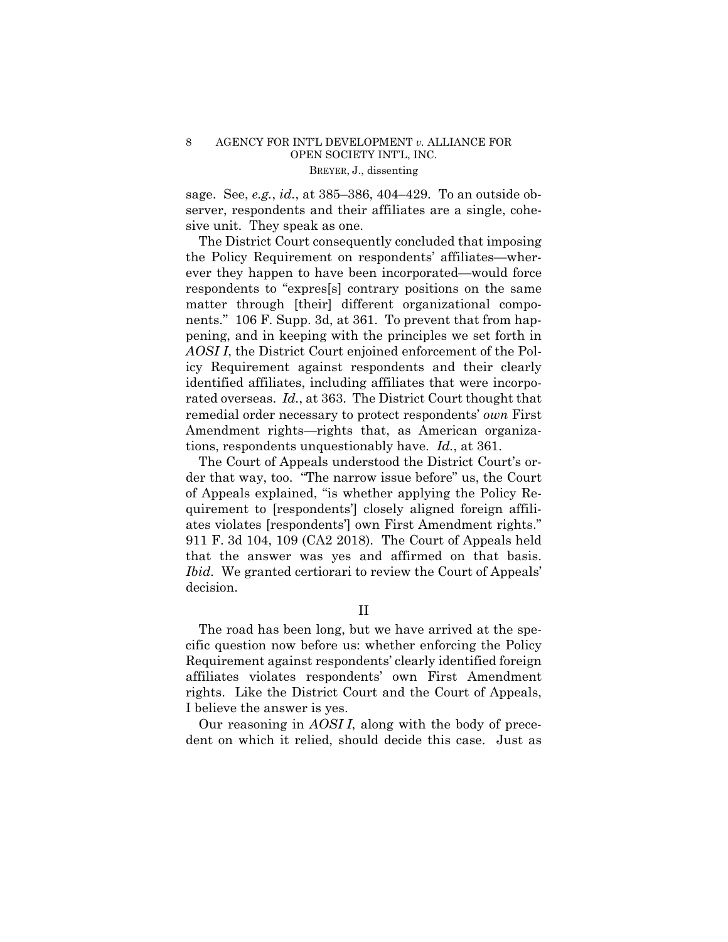sage. See, *e.g.*, *id.*, at 385–386, 404–429. To an outside observer, respondents and their affiliates are a single, cohesive unit. They speak as one.

The District Court consequently concluded that imposing the Policy Requirement on respondents' affiliates—wherever they happen to have been incorporated—would force respondents to "expres[s] contrary positions on the same matter through [their] different organizational components." 106 F. Supp. 3d, at 361. To prevent that from happening, and in keeping with the principles we set forth in *AOSI I*, the District Court enjoined enforcement of the Policy Requirement against respondents and their clearly identified affiliates, including affiliates that were incorporated overseas. *Id.*, at 363. The District Court thought that remedial order necessary to protect respondents' *own* First Amendment rights—rights that, as American organizations, respondents unquestionably have. *Id.*, at 361.

The Court of Appeals understood the District Court's order that way, too. "The narrow issue before" us, the Court of Appeals explained, "is whether applying the Policy Requirement to [respondents'] closely aligned foreign affiliates violates [respondents'] own First Amendment rights." 911 F. 3d 104, 109 (CA2 2018). The Court of Appeals held that the answer was yes and affirmed on that basis. *Ibid.* We granted certiorari to review the Court of Appeals' decision.

II

The road has been long, but we have arrived at the specific question now before us: whether enforcing the Policy Requirement against respondents' clearly identified foreign affiliates violates respondents' own First Amendment rights. Like the District Court and the Court of Appeals, I believe the answer is yes.

 Our reasoning in *AOSI I*, along with the body of precedent on which it relied, should decide this case. Just as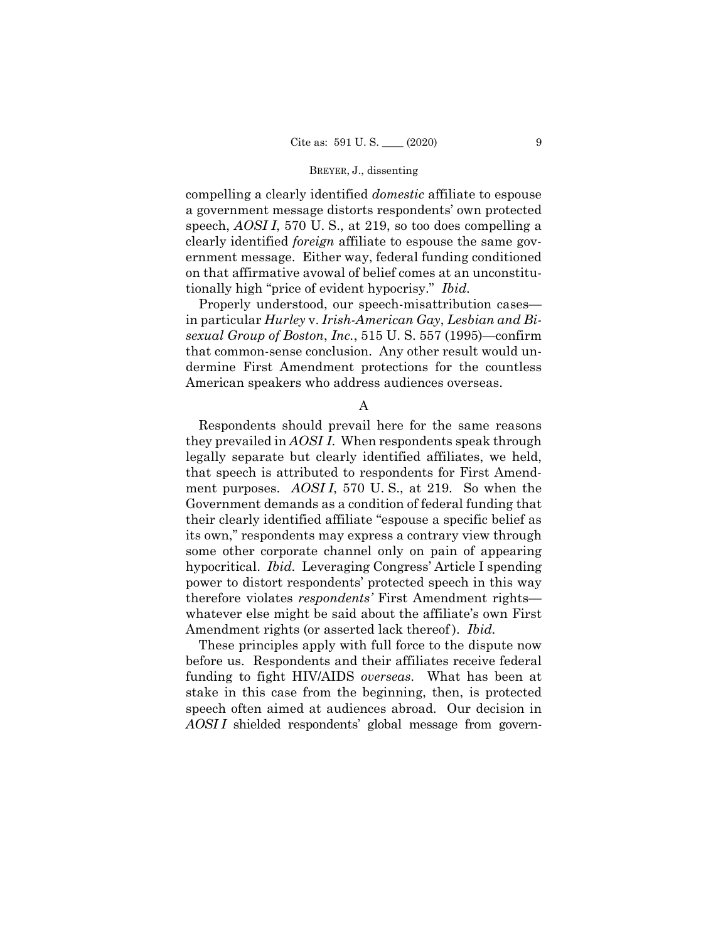compelling a clearly identified *domestic* affiliate to espouse a government message distorts respondents' own protected speech, *AOSI I*, 570 U. S., at 219, so too does compelling a clearly identified *foreign* affiliate to espouse the same government message. Either way, federal funding conditioned on that affirmative avowal of belief comes at an unconstitutionally high "price of evident hypocrisy." *Ibid.* 

Properly understood, our speech-misattribution cases in particular *Hurley* v. *Irish-American Gay*, *Lesbian and Bisexual Group of Boston*, *Inc.*, 515 U. S. 557 (1995)—confirm that common-sense conclusion. Any other result would undermine First Amendment protections for the countless American speakers who address audiences overseas.

A

 hypocritical. *Ibid.* Leveraging Congress' Article I spending Respondents should prevail here for the same reasons they prevailed in *AOSI I*. When respondents speak through legally separate but clearly identified affiliates, we held, that speech is attributed to respondents for First Amendment purposes. *AOSI I*, 570 U. S., at 219. So when the Government demands as a condition of federal funding that their clearly identified affiliate "espouse a specific belief as its own," respondents may express a contrary view through some other corporate channel only on pain of appearing power to distort respondents' protected speech in this way therefore violates *respondents'* First Amendment rights whatever else might be said about the affiliate's own First Amendment rights (or asserted lack thereof). *Ibid.* 

 before us. Respondents and their affiliates receive federal These principles apply with full force to the dispute now funding to fight HIV/AIDS *overseas*. What has been at stake in this case from the beginning, then, is protected speech often aimed at audiences abroad. Our decision in *AOSI I* shielded respondents' global message from govern-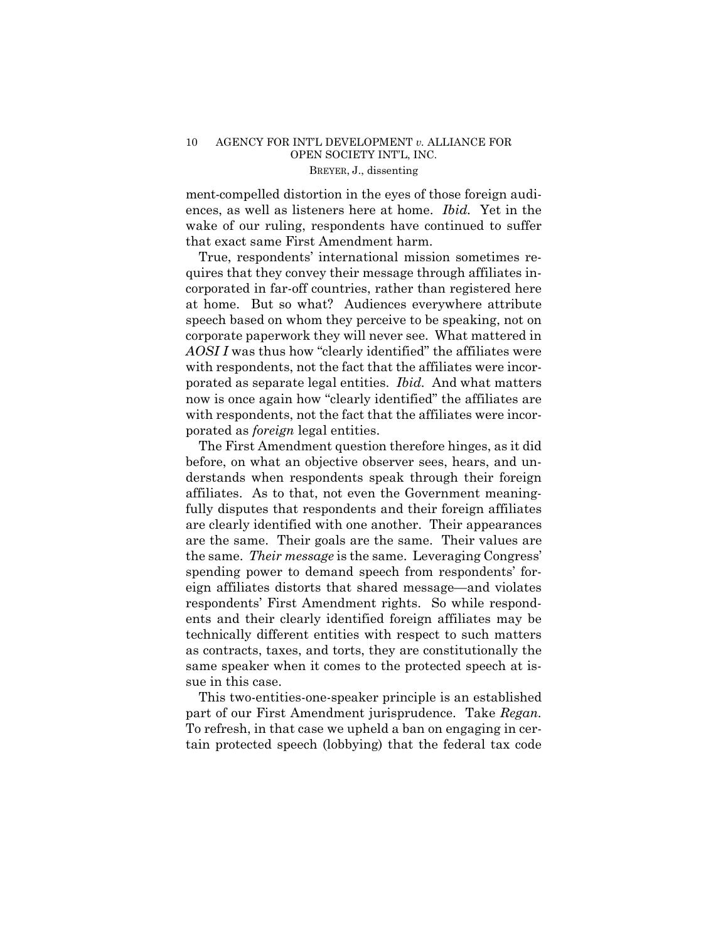ences, as well as listeners here at home. *Ibid.* Yet in the ment-compelled distortion in the eyes of those foreign audiwake of our ruling, respondents have continued to suffer that exact same First Amendment harm.

True, respondents' international mission sometimes requires that they convey their message through affiliates incorporated in far-off countries, rather than registered here at home. But so what? Audiences everywhere attribute speech based on whom they perceive to be speaking, not on corporate paperwork they will never see. What mattered in AOSI I was thus how "clearly identified" the affiliates were with respondents, not the fact that the affiliates were incorporated as separate legal entities. *Ibid.* And what matters now is once again how "clearly identified" the affiliates are with respondents, not the fact that the affiliates were incorporated as *foreign* legal entities.

The First Amendment question therefore hinges, as it did before, on what an objective observer sees, hears, and understands when respondents speak through their foreign affiliates. As to that, not even the Government meaningfully disputes that respondents and their foreign affiliates are clearly identified with one another. Their appearances are the same. Their goals are the same. Their values are the same. *Their message* is the same. Leveraging Congress' spending power to demand speech from respondents' foreign affiliates distorts that shared message—and violates respondents' First Amendment rights. So while respondents and their clearly identified foreign affiliates may be technically different entities with respect to such matters as contracts, taxes, and torts, they are constitutionally the same speaker when it comes to the protected speech at issue in this case.

This two-entities-one-speaker principle is an established part of our First Amendment jurisprudence. Take *Regan.* To refresh, in that case we upheld a ban on engaging in certain protected speech (lobbying) that the federal tax code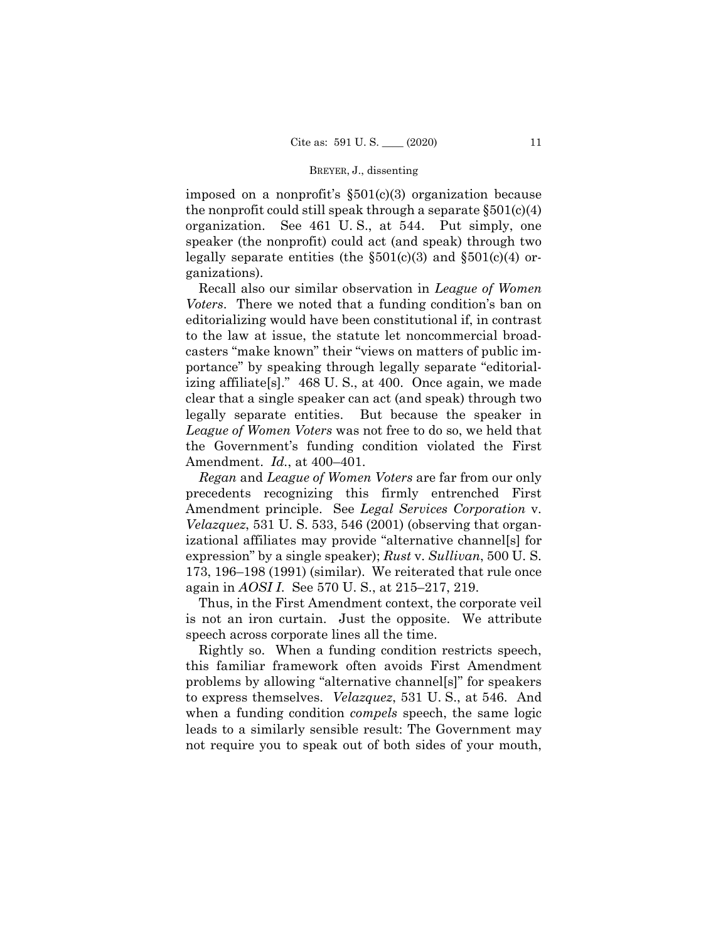imposed on a nonprofit's §501(c)(3) organization because the nonprofit could still speak through a separate  $\S501(c)(4)$ organization. See 461 U. S., at 544. Put simply, one speaker (the nonprofit) could act (and speak) through two legally separate entities (the  $\S501(c)(3)$  and  $\S501(c)(4)$  organizations).

Recall also our similar observation in *League of Women Voters*. There we noted that a funding condition's ban on editorializing would have been constitutional if, in contrast to the law at issue, the statute let noncommercial broadcasters "make known" their "views on matters of public importance" by speaking through legally separate "editorializing affiliate[s]." 468 U. S., at 400. Once again, we made clear that a single speaker can act (and speak) through two legally separate entities. But because the speaker in *League of Women Voters* was not free to do so, we held that the Government's funding condition violated the First Amendment. *Id.*, at 400–401.

*Regan* and *League of Women Voters* are far from our only precedents recognizing this firmly entrenched First Amendment principle. See *Legal Services Corporation* v. *Velazquez*, 531 U. S. 533, 546 (2001) (observing that organizational affiliates may provide "alternative channel[s] for expression" by a single speaker); *Rust* v. *Sullivan*, 500 U. S. 173, 196–198 (1991) (similar). We reiterated that rule once again in *AOSI I*. See 570 U. S., at 215–217, 219.

Thus, in the First Amendment context, the corporate veil is not an iron curtain. Just the opposite. We attribute speech across corporate lines all the time.

 to express themselves. *Velazquez*, 531 U. S., at 546. And Rightly so. When a funding condition restricts speech, this familiar framework often avoids First Amendment problems by allowing "alternative channel[s]" for speakers when a funding condition *compels* speech, the same logic leads to a similarly sensible result: The Government may not require you to speak out of both sides of your mouth,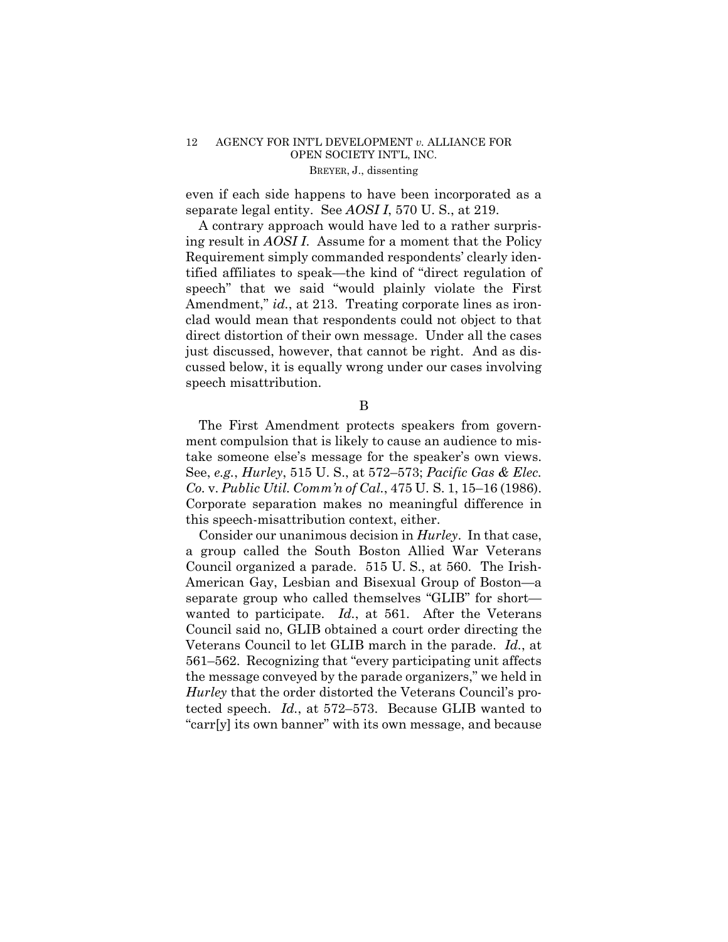even if each side happens to have been incorporated as a separate legal entity. See *AOSI I*, 570 U. S., at 219.

A contrary approach would have led to a rather surprising result in *AOSI I*. Assume for a moment that the Policy Requirement simply commanded respondents' clearly identified affiliates to speak—the kind of "direct regulation of speech" that we said "would plainly violate the First Amendment," *id.*, at 213. Treating corporate lines as ironclad would mean that respondents could not object to that direct distortion of their own message. Under all the cases just discussed, however, that cannot be right. And as discussed below, it is equally wrong under our cases involving speech misattribution.

B

The First Amendment protects speakers from government compulsion that is likely to cause an audience to mistake someone else's message for the speaker's own views. See, *e.g.*, *Hurley*, 515 U. S., at 572–573; *Pacific Gas & Elec. Co.* v. *Public Util. Comm'n of Cal.*, 475 U. S. 1, 15–16 (1986). Corporate separation makes no meaningful difference in this speech-misattribution context, either.

 Consider our unanimous decision in *Hurley*. In that case, wanted to participate. *Id.*, at 561. After the Veterans a group called the South Boston Allied War Veterans Council organized a parade. 515 U. S., at 560. The Irish-American Gay, Lesbian and Bisexual Group of Boston—a separate group who called themselves "GLIB" for short— Council said no, GLIB obtained a court order directing the Veterans Council to let GLIB march in the parade. *Id.*, at 561–562. Recognizing that "every participating unit affects the message conveyed by the parade organizers," we held in *Hurley* that the order distorted the Veterans Council's protected speech. *Id.*, at 572–573. Because GLIB wanted to "carr[y] its own banner" with its own message, and because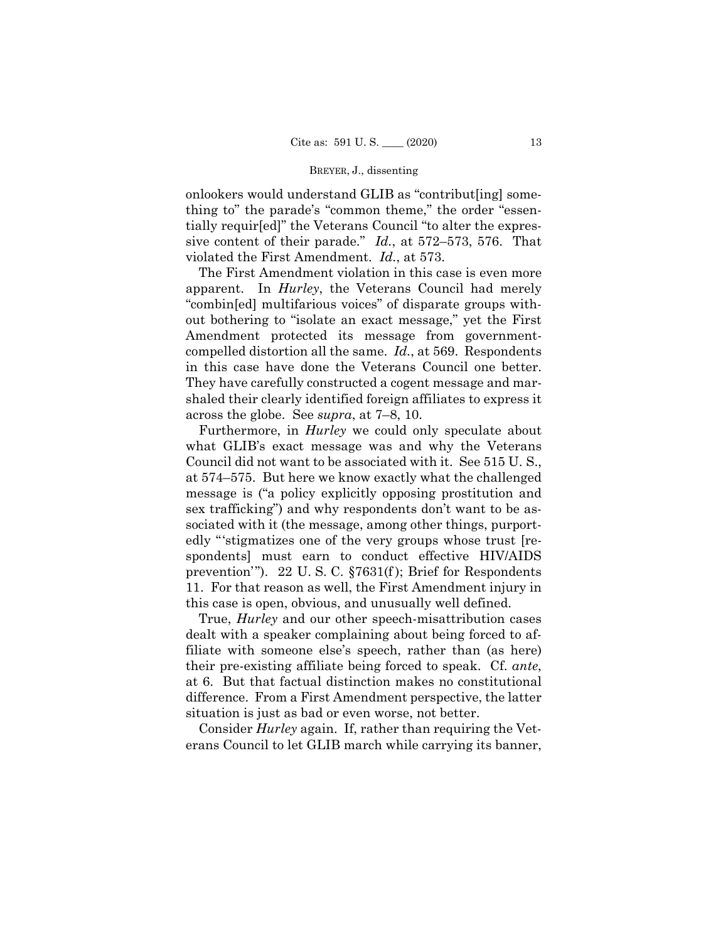onlookers would understand GLIB as "contribut[ing] something to" the parade's "common theme," the order "essentially requir[ed]" the Veterans Council "to alter the expressive content of their parade." *Id.*, at 572–573, 576. That violated the First Amendment. *Id.*, at 573.

 compelled distortion all the same. *Id.*, at 569. Respondents The First Amendment violation in this case is even more apparent. In *Hurley*, the Veterans Council had merely "combin[ed] multifarious voices" of disparate groups without bothering to "isolate an exact message," yet the First Amendment protected its message from governmentin this case have done the Veterans Council one better. They have carefully constructed a cogent message and marshaled their clearly identified foreign affiliates to express it across the globe. See *supra*, at 7–8, 10.

 Furthermore, in *Hurley* we could only speculate about what GLIB's exact message was and why the Veterans Council did not want to be associated with it. See 515 U. S., at 574–575. But here we know exactly what the challenged message is ("a policy explicitly opposing prostitution and sex trafficking") and why respondents don't want to be associated with it (the message, among other things, purportedly "'stigmatizes one of the very groups whose trust [respondents] must earn to conduct effective HIV/AIDS prevention'"). 22 U. S. C. §7631(f ); Brief for Respondents 11. For that reason as well, the First Amendment injury in this case is open, obvious, and unusually well defined.

True, *Hurley* and our other speech-misattribution cases dealt with a speaker complaining about being forced to affiliate with someone else's speech, rather than (as here) their pre-existing affiliate being forced to speak. Cf. *ante*, at 6. But that factual distinction makes no constitutional difference. From a First Amendment perspective, the latter situation is just as bad or even worse, not better.

Consider *Hurley* again. If, rather than requiring the Veterans Council to let GLIB march while carrying its banner,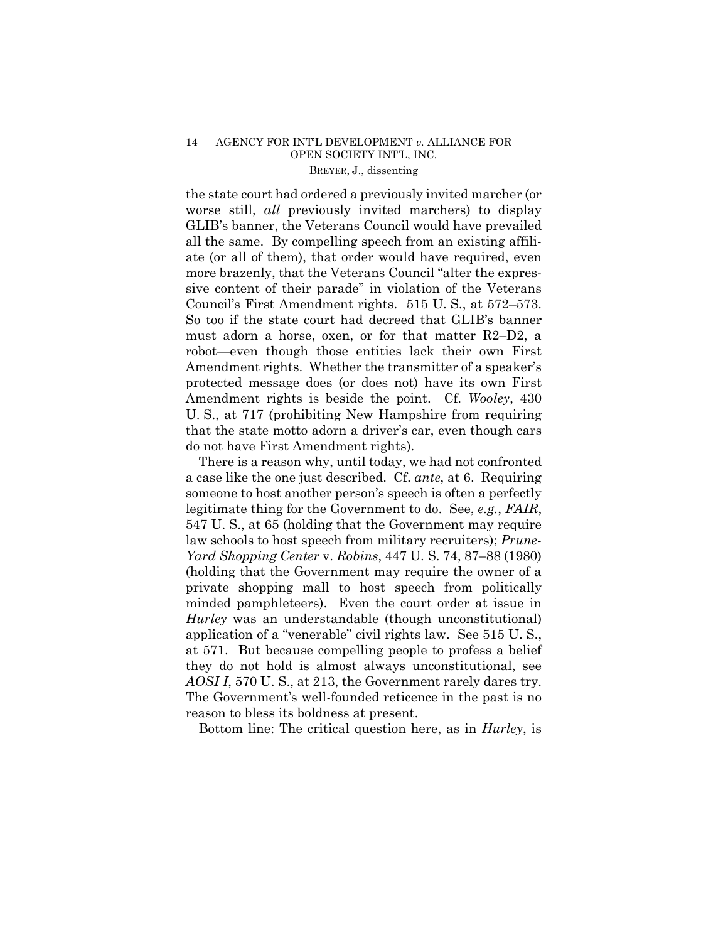the state court had ordered a previously invited marcher (or worse still, *all* previously invited marchers) to display GLIB's banner, the Veterans Council would have prevailed all the same. By compelling speech from an existing affiliate (or all of them), that order would have required, even more brazenly, that the Veterans Council "alter the expressive content of their parade" in violation of the Veterans Council's First Amendment rights. 515 U. S., at 572–573. So too if the state court had decreed that GLIB's banner must adorn a horse, oxen, or for that matter R2–D2, a robot—even though those entities lack their own First Amendment rights. Whether the transmitter of a speaker's protected message does (or does not) have its own First Amendment rights is beside the point. Cf. *Wooley*, 430 U. S., at 717 (prohibiting New Hampshire from requiring that the state motto adorn a driver's car, even though cars do not have First Amendment rights).

There is a reason why, until today, we had not confronted a case like the one just described. Cf. *ante*, at 6. Requiring someone to host another person's speech is often a perfectly legitimate thing for the Government to do. See, *e.g.*, *FAIR*, 547 U. S., at 65 (holding that the Government may require law schools to host speech from military recruiters); *Prune-Yard Shopping Center* v. *Robins*, 447 U. S. 74, 87–88 (1980) (holding that the Government may require the owner of a private shopping mall to host speech from politically minded pamphleteers). Even the court order at issue in *Hurley* was an understandable (though unconstitutional) application of a "venerable" civil rights law. See 515 U. S., at 571. But because compelling people to profess a belief they do not hold is almost always unconstitutional, see *AOSI I*, 570 U. S., at 213, the Government rarely dares try. The Government's well-founded reticence in the past is no reason to bless its boldness at present.

Bottom line: The critical question here, as in *Hurley*, is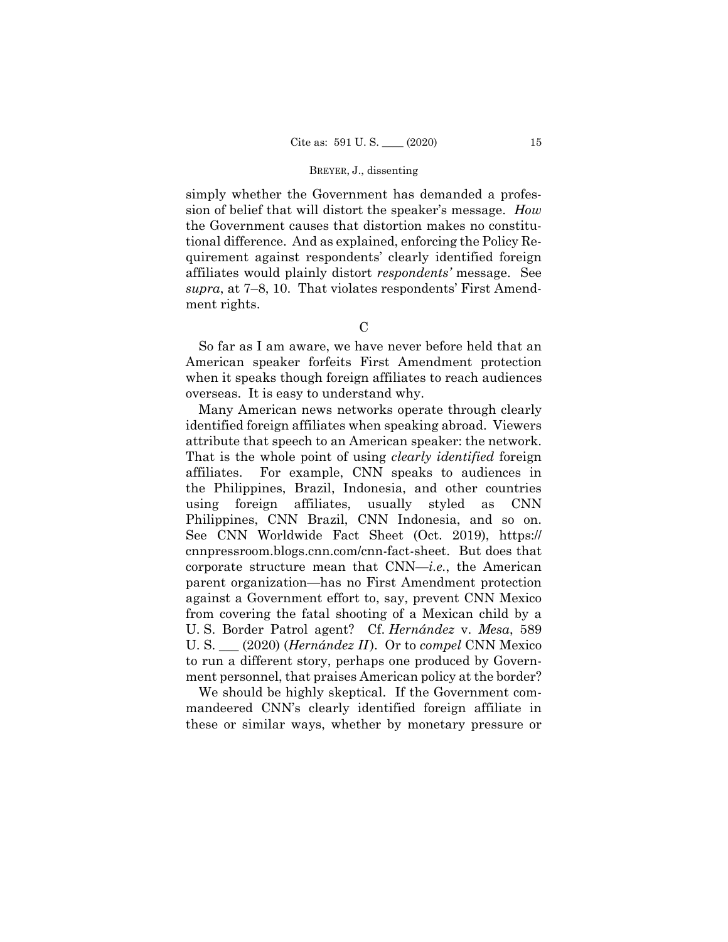simply whether the Government has demanded a profession of belief that will distort the speaker's message. *How*  the Government causes that distortion makes no constitutional difference. And as explained, enforcing the Policy Requirement against respondents' clearly identified foreign affiliates would plainly distort *respondents'* message. See *supra*, at 7–8, 10. That violates respondents' First Amendment rights.

 $\mathcal{C}$ 

So far as I am aware, we have never before held that an American speaker forfeits First Amendment protection when it speaks though foreign affiliates to reach audiences overseas. It is easy to understand why.

 attribute that speech to an American speaker: the network. U. S. \_\_\_ (2020) (*Hernández II* ). Or to *compel* CNN Mexico Many American news networks operate through clearly identified foreign affiliates when speaking abroad. Viewers That is the whole point of using *clearly identified* foreign affiliates. For example, CNN speaks to audiences in the Philippines, Brazil, Indonesia, and other countries using foreign affiliates, usually styled as CNN Philippines, CNN Brazil, CNN Indonesia, and so on. See CNN Worldwide Fact Sheet (Oct. 2019), https:// cnnpressroom.blogs.cnn.com/cnn-fact-sheet. But does that corporate structure mean that CNN—*i.e.*, the American parent organization—has no First Amendment protection against a Government effort to, say, prevent CNN Mexico from covering the fatal shooting of a Mexican child by a U. S. Border Patrol agent? Cf. *Hernández* v. *Mesa*, 589 to run a different story, perhaps one produced by Government personnel, that praises American policy at the border?

We should be highly skeptical. If the Government commandeered CNN's clearly identified foreign affiliate in these or similar ways, whether by monetary pressure or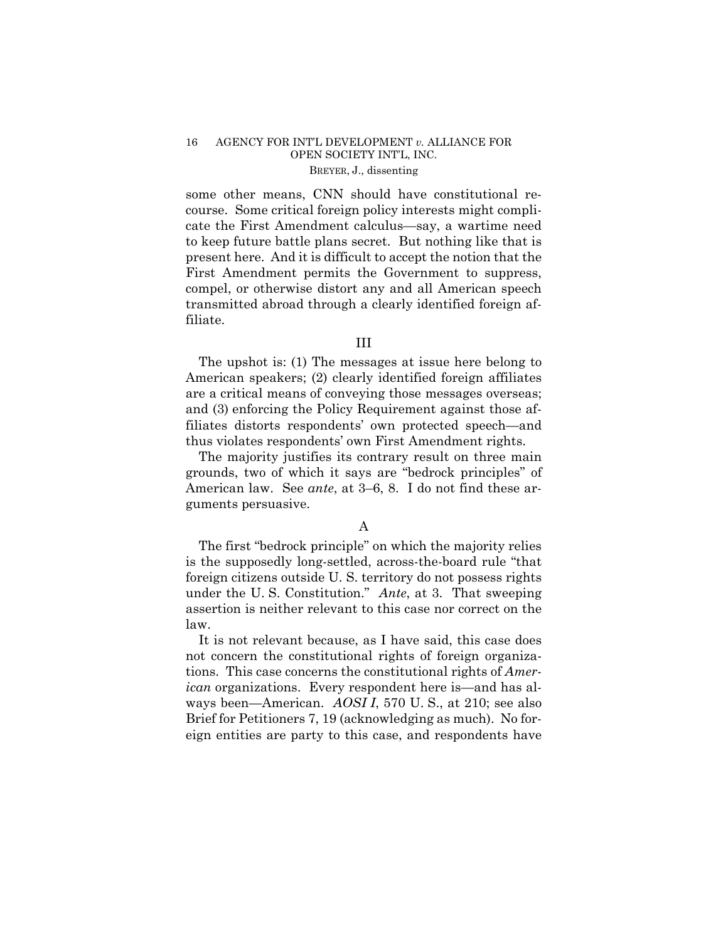some other means, CNN should have constitutional recourse. Some critical foreign policy interests might complicate the First Amendment calculus—say, a wartime need to keep future battle plans secret. But nothing like that is present here. And it is difficult to accept the notion that the First Amendment permits the Government to suppress, compel, or otherwise distort any and all American speech transmitted abroad through a clearly identified foreign affiliate.

### III

The upshot is: (1) The messages at issue here belong to American speakers; (2) clearly identified foreign affiliates are a critical means of conveying those messages overseas; and (3) enforcing the Policy Requirement against those affiliates distorts respondents' own protected speech—and thus violates respondents' own First Amendment rights.

The majority justifies its contrary result on three main grounds, two of which it says are "bedrock principles" of American law. See *ante*, at 3–6, 8. I do not find these arguments persuasive.

### A

The first "bedrock principle" on which the majority relies is the supposedly long-settled, across-the-board rule "that foreign citizens outside U. S. territory do not possess rights under the U. S. Constitution." *Ante*, at 3. That sweeping assertion is neither relevant to this case nor correct on the law.

 ways been—American. *AOSI I*, 570 U. S., at 210; see also It is not relevant because, as I have said, this case does not concern the constitutional rights of foreign organizations. This case concerns the constitutional rights of *American* organizations. Every respondent here is—and has al-Brief for Petitioners 7, 19 (acknowledging as much). No foreign entities are party to this case, and respondents have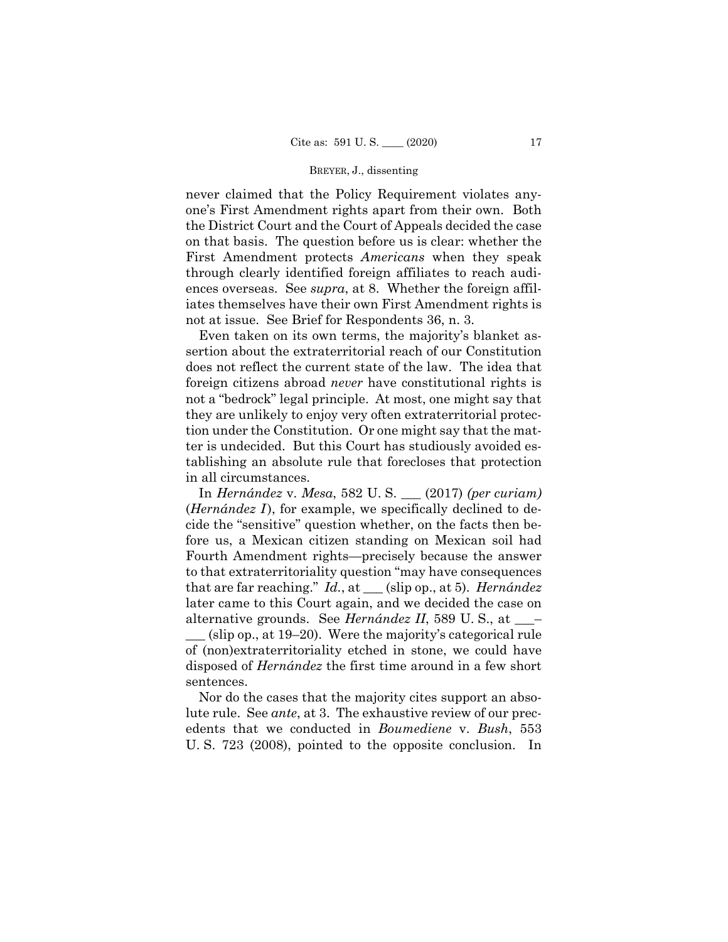never claimed that the Policy Requirement violates anyone's First Amendment rights apart from their own. Both the District Court and the Court of Appeals decided the case on that basis. The question before us is clear: whether the First Amendment protects *Americans* when they speak through clearly identified foreign affiliates to reach audiences overseas. See *supra*, at 8. Whether the foreign affiliates themselves have their own First Amendment rights is not at issue. See Brief for Respondents 36, n. 3.

Even taken on its own terms, the majority's blanket assertion about the extraterritorial reach of our Constitution does not reflect the current state of the law. The idea that foreign citizens abroad *never* have constitutional rights is not a "bedrock" legal principle. At most, one might say that they are unlikely to enjoy very often extraterritorial protection under the Constitution. Or one might say that the matter is undecided. But this Court has studiously avoided establishing an absolute rule that forecloses that protection in all circumstances.

 \_\_\_ (slip op., at 19–20). Were the majority's categorical rule In *Hernández* v. *Mesa*, 582 U. S. \_\_\_ (2017) *(per curiam)*  (*Hernández I*), for example, we specifically declined to decide the "sensitive" question whether, on the facts then before us, a Mexican citizen standing on Mexican soil had Fourth Amendment rights—precisely because the answer to that extraterritoriality question "may have consequences that are far reaching." *Id.*, at \_\_\_ (slip op., at 5). *Hernández*  later came to this Court again, and we decided the case on alternative grounds. See *Hernández II*, 589 U. S., at \_\_\_– of (non)extraterritoriality etched in stone, we could have disposed of *Hernández* the first time around in a few short sentences.

Nor do the cases that the majority cites support an absolute rule. See *ante*, at 3. The exhaustive review of our precedents that we conducted in *Boumediene* v. *Bush*, 553 U. S. 723 (2008), pointed to the opposite conclusion. In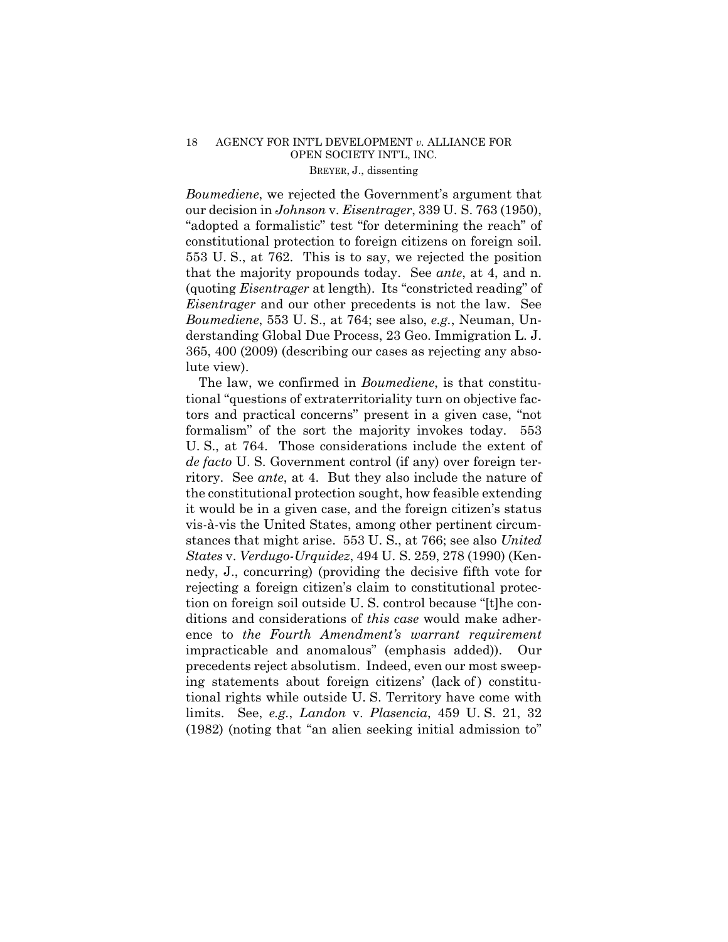*Boumediene*, we rejected the Government's argument that our decision in *Johnson* v. *Eisentrager*, 339 U. S. 763 (1950), "adopted a formalistic" test "for determining the reach" of constitutional protection to foreign citizens on foreign soil. 553 U. S., at 762. This is to say, we rejected the position that the majority propounds today. See *ante*, at 4, and n. (quoting *Eisentrager* at length). Its "constricted reading" of *Eisentrager* and our other precedents is not the law. See *Boumediene*, 553 U. S., at 764; see also, *e.g.*, Neuman, Understanding Global Due Process, 23 Geo. Immigration L. J. 365, 400 (2009) (describing our cases as rejecting any absolute view).

The law, we confirmed in *Boumediene*, is that constitutional "questions of extraterritoriality turn on objective factors and practical concerns" present in a given case, "not formalism" of the sort the majority invokes today. 553 U. S., at 764. Those considerations include the extent of *de facto* U. S. Government control (if any) over foreign territory. See *ante*, at 4. But they also include the nature of the constitutional protection sought, how feasible extending it would be in a given case, and the foreign citizen's status vis-à-vis the United States, among other pertinent circumstances that might arise. 553 U. S., at 766; see also *United States* v. *Verdugo-Urquidez*, 494 U. S. 259, 278 (1990) (Kennedy, J., concurring) (providing the decisive fifth vote for rejecting a foreign citizen's claim to constitutional protection on foreign soil outside U. S. control because "[t]he conditions and considerations of *this case* would make adherence to *the Fourth Amendment's warrant requirement* impracticable and anomalous" (emphasis added)). Our precedents reject absolutism. Indeed, even our most sweeping statements about foreign citizens' (lack of ) constitutional rights while outside U. S. Territory have come with limits. See, *e.g.*, *Landon* v. *Plasencia*, 459 U. S. 21, 32 (1982) (noting that "an alien seeking initial admission to"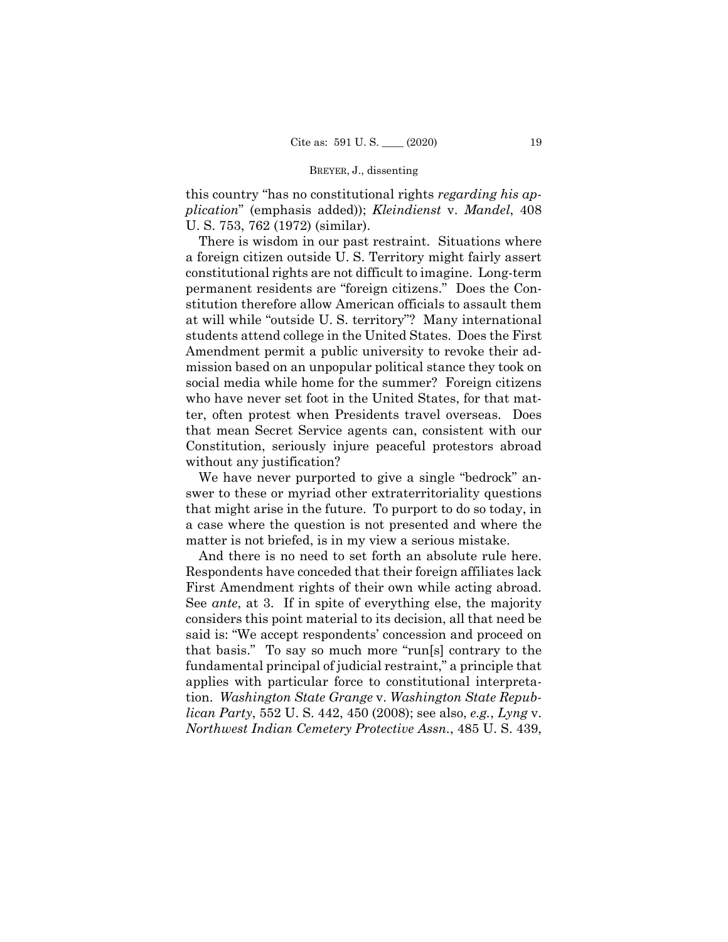this country "has no constitutional rights *regarding his application*" (emphasis added)); *Kleindienst* v. *Mandel*, 408 U. S. 753, 762 (1972) (similar).

There is wisdom in our past restraint. Situations where a foreign citizen outside U. S. Territory might fairly assert constitutional rights are not difficult to imagine. Long-term permanent residents are "foreign citizens." Does the Constitution therefore allow American officials to assault them at will while "outside U. S. territory"? Many international students attend college in the United States. Does the First Amendment permit a public university to revoke their admission based on an unpopular political stance they took on social media while home for the summer? Foreign citizens who have never set foot in the United States, for that matter, often protest when Presidents travel overseas. Does that mean Secret Service agents can, consistent with our Constitution, seriously injure peaceful protestors abroad without any justification?

We have never purported to give a single "bedrock" answer to these or myriad other extraterritoriality questions that might arise in the future. To purport to do so today, in a case where the question is not presented and where the matter is not briefed, is in my view a serious mistake.

And there is no need to set forth an absolute rule here. Respondents have conceded that their foreign affiliates lack First Amendment rights of their own while acting abroad. See *ante*, at 3. If in spite of everything else, the majority considers this point material to its decision, all that need be said is: "We accept respondents' concession and proceed on that basis." To say so much more "run[s] contrary to the fundamental principal of judicial restraint," a principle that applies with particular force to constitutional interpretation. *Washington State Grange* v. *Washington State Republican Party*, 552 U. S. 442, 450 (2008); see also, *e.g.*, *Lyng* v. *Northwest Indian Cemetery Protective Assn.*, 485 U. S. 439,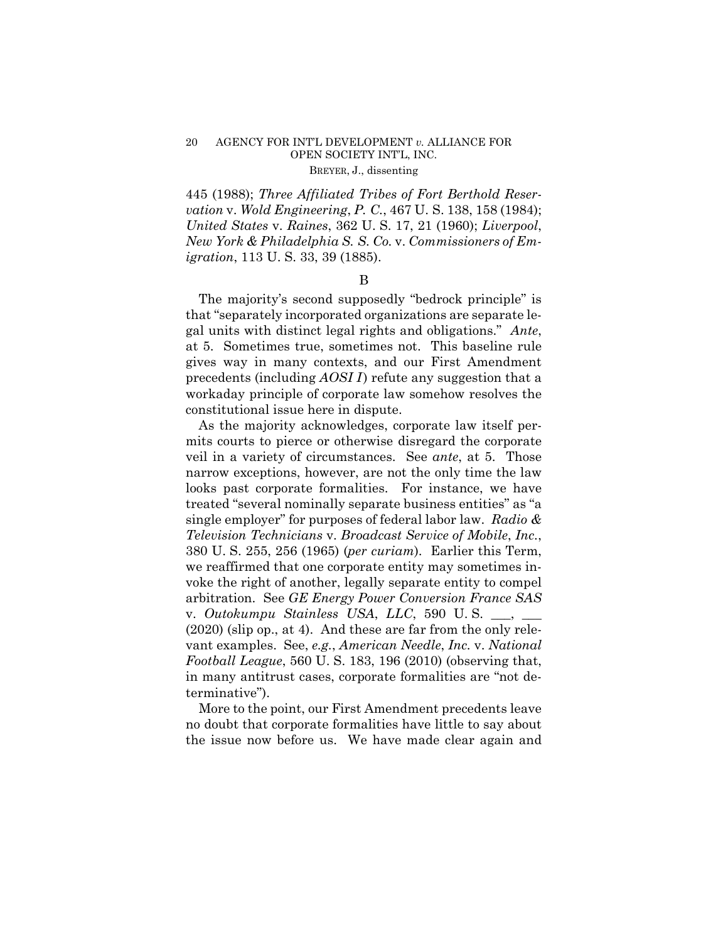445 (1988); *Three Affiliated Tribes of Fort Berthold Reservation* v. *Wold Engineering*, *P. C.*, 467 U. S. 138, 158 (1984); *United States* v. *Raines*, 362 U. S. 17, 21 (1960); *Liverpool*, *New York & Philadelphia S. S. Co.* v. *Commissioners of Emigration*, 113 U. S. 33, 39 (1885).

#### B

The majority's second supposedly "bedrock principle" is that "separately incorporated organizations are separate legal units with distinct legal rights and obligations." *Ante*, at 5. Sometimes true, sometimes not. This baseline rule gives way in many contexts, and our First Amendment precedents (including *AOSI I* ) refute any suggestion that a workaday principle of corporate law somehow resolves the constitutional issue here in dispute.

As the majority acknowledges, corporate law itself permits courts to pierce or otherwise disregard the corporate veil in a variety of circumstances. See *ante*, at 5. Those narrow exceptions, however, are not the only time the law looks past corporate formalities. For instance, we have treated "several nominally separate business entities" as "a single employer" for purposes of federal labor law. *Radio & Television Technicians* v. *Broadcast Service of Mobile*, *Inc.*, 380 U. S. 255, 256 (1965) (*per curiam*). Earlier this Term, we reaffirmed that one corporate entity may sometimes invoke the right of another, legally separate entity to compel arbitration. See *GE Energy Power Conversion France SAS*  v. *Outokumpu Stainless USA*, *LLC*, 590 U. S. \_\_\_, \_\_\_ (2020) (slip op., at 4). And these are far from the only relevant examples. See, *e.g.*, *American Needle*, *Inc.* v. *National Football League*, 560 U. S. 183, 196 (2010) (observing that, in many antitrust cases, corporate formalities are "not determinative").

More to the point, our First Amendment precedents leave no doubt that corporate formalities have little to say about the issue now before us. We have made clear again and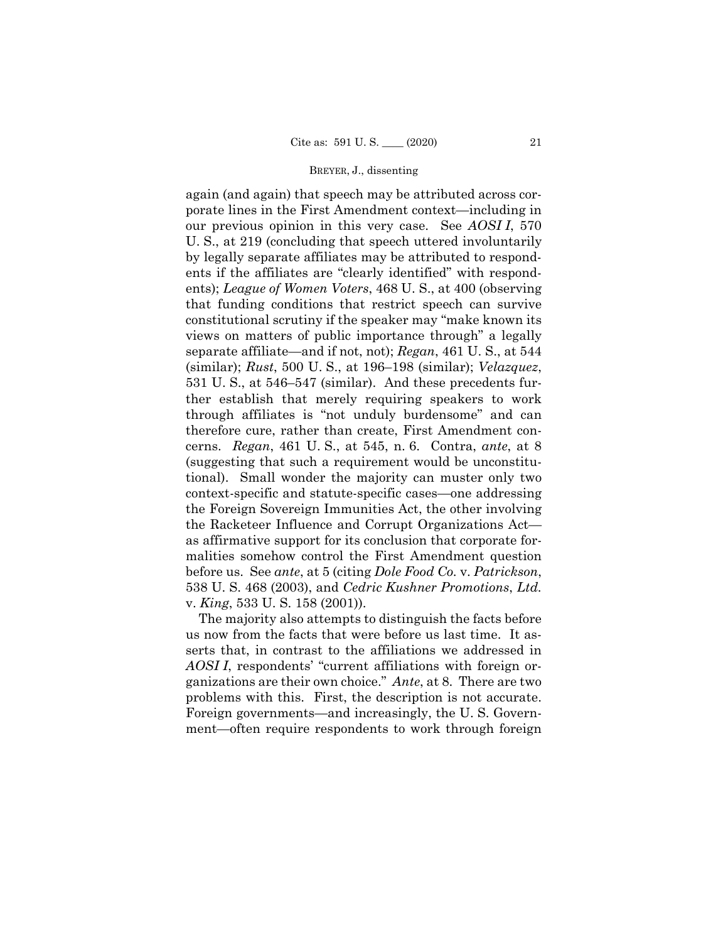again (and again) that speech may be attributed across corporate lines in the First Amendment context—including in our previous opinion in this very case. See *AOSI I*, 570 U. S., at 219 (concluding that speech uttered involuntarily by legally separate affiliates may be attributed to respondents if the affiliates are "clearly identified" with respondents); *League of Women Voters*, 468 U. S., at 400 (observing that funding conditions that restrict speech can survive constitutional scrutiny if the speaker may "make known its views on matters of public importance through" a legally separate affiliate—and if not, not); *Regan*, 461 U. S., at 544 (similar); *Rust*, 500 U. S., at 196–198 (similar); *Velazquez*, 531 U. S., at 546–547 (similar). And these precedents further establish that merely requiring speakers to work through affiliates is "not unduly burdensome" and can therefore cure, rather than create, First Amendment concerns. *Regan*, 461 U. S., at 545, n. 6. Contra, *ante*, at 8 (suggesting that such a requirement would be unconstitutional). Small wonder the majority can muster only two context-specific and statute-specific cases—one addressing the Foreign Sovereign Immunities Act, the other involving the Racketeer Influence and Corrupt Organizations Act as affirmative support for its conclusion that corporate formalities somehow control the First Amendment question before us. See *ante*, at 5 (citing *Dole Food Co.* v. *Patrickson*, 538 U. S. 468 (2003), and *Cedric Kushner Promotions*, *Ltd.*  v. *King*, 533 U. S. 158 (2001)).

The majority also attempts to distinguish the facts before us now from the facts that were before us last time. It asserts that, in contrast to the affiliations we addressed in *AOSI I*, respondents' "current affiliations with foreign organizations are their own choice." *Ante*, at 8. There are two problems with this. First, the description is not accurate. Foreign governments—and increasingly, the U. S. Government—often require respondents to work through foreign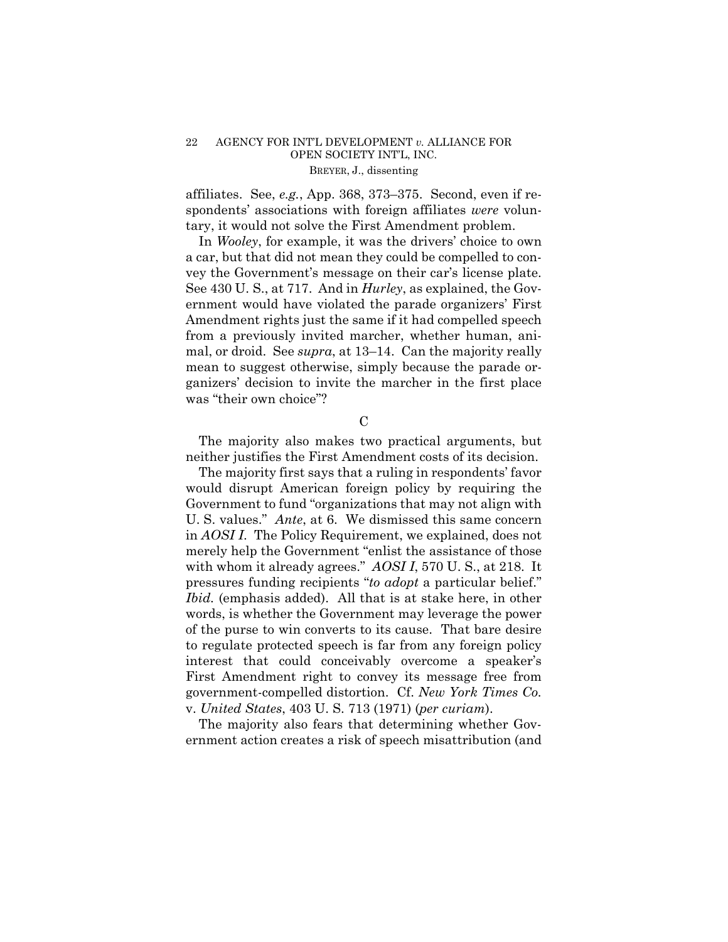affiliates. See, *e.g.*, App. 368, 373–375. Second, even if respondents' associations with foreign affiliates *were* voluntary, it would not solve the First Amendment problem.

In *Wooley*, for example, it was the drivers' choice to own a car, but that did not mean they could be compelled to convey the Government's message on their car's license plate. See 430 U. S., at 717. And in *Hurley*, as explained, the Government would have violated the parade organizers' First Amendment rights just the same if it had compelled speech from a previously invited marcher, whether human, animal, or droid. See *supra*, at 13–14. Can the majority really mean to suggest otherwise, simply because the parade organizers' decision to invite the marcher in the first place was "their own choice"?

C

The majority also makes two practical arguments, but neither justifies the First Amendment costs of its decision.

The majority first says that a ruling in respondents' favor would disrupt American foreign policy by requiring the Government to fund "organizations that may not align with U. S. values." *Ante*, at 6. We dismissed this same concern in *AOSI I*. The Policy Requirement, we explained, does not merely help the Government "enlist the assistance of those with whom it already agrees." *AOSI I*, 570 U. S., at 218. It pressures funding recipients "*to adopt* a particular belief." *Ibid.* (emphasis added). All that is at stake here, in other words, is whether the Government may leverage the power of the purse to win converts to its cause. That bare desire to regulate protected speech is far from any foreign policy interest that could conceivably overcome a speaker's First Amendment right to convey its message free from government-compelled distortion. Cf. *New York Times Co.*  v. *United States*, 403 U. S. 713 (1971) (*per curiam*).

The majority also fears that determining whether Government action creates a risk of speech misattribution (and